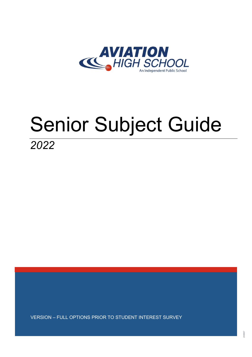

# Senior Subject Guide

*2022*

VERSION – FULL OPTIONS PRIOR TO STUDENT INTEREST SURVEY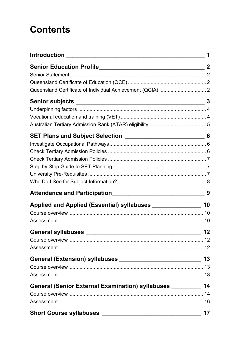# **Contents**

|                                                                  | 1  |
|------------------------------------------------------------------|----|
|                                                                  |    |
|                                                                  |    |
|                                                                  |    |
|                                                                  |    |
|                                                                  |    |
|                                                                  |    |
|                                                                  |    |
|                                                                  |    |
|                                                                  |    |
|                                                                  |    |
|                                                                  |    |
|                                                                  |    |
|                                                                  |    |
|                                                                  |    |
|                                                                  |    |
|                                                                  |    |
| Applied and Applied (Essential) syllabuses __________________ 10 |    |
|                                                                  |    |
|                                                                  |    |
|                                                                  | 12 |
| Course overview                                                  |    |
|                                                                  |    |
|                                                                  | 13 |
|                                                                  |    |
|                                                                  |    |
| General (Senior External Examination) syllabuses __________ 14   |    |
|                                                                  |    |
|                                                                  |    |
|                                                                  | 17 |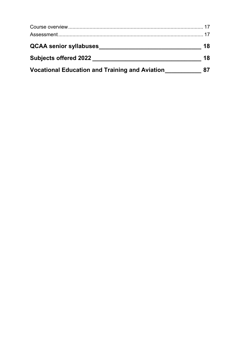| <b>QCAA senior syllabuses</b>                         | 18 |
|-------------------------------------------------------|----|
| <b>Subjects offered 2022</b>                          | 18 |
| <b>Vocational Education and Training and Aviation</b> |    |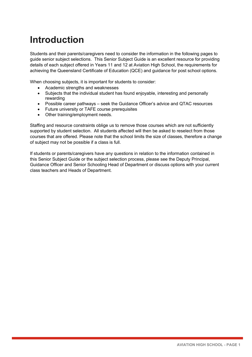# <span id="page-3-0"></span>**Introduction**

Students and their parents/caregivers need to consider the information in the following pages to guide senior subject selections. This Senior Subject Guide is an excellent resource for providing details of each subject offered in Years 11 and 12 at Aviation High School, the requirements for achieving the Queensland Certificate of Education (QCE) and guidance for post school options.

When choosing subjects, it is important for students to consider:

- Academic strengths and weaknesses
- Subjects that the individual student has found enjoyable, interesting and personally rewarding
- Possible career pathways seek the Guidance Officer's advice and QTAC resources
- Future university or TAFE course prerequisites
- Other training/employment needs.

Staffing and resource constraints oblige us to remove those courses which are not sufficiently supported by student selection. All students affected will then be asked to reselect from those courses that are offered. Please note that the school limits the size of classes, therefore a change of subject may not be possible if a class is full.

If students or parents/caregivers have any questions in relation to the information contained in this Senior Subject Guide or the subject selection process, please see the Deputy Principal, Guidance Officer and Senior Schooling Head of Department or discuss options with your current class teachers and Heads of Department.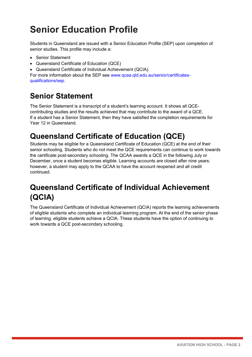# <span id="page-4-0"></span>**Senior Education Profile**

Students in Queensland are issued with a Senior Education Profile (SEP) upon completion of senior studies. This profile may include a:

- Senior Statement
- Queensland Certificate of Education (QCE)
- Queensland Certificate of Individual Achievement (QCIA).

For more information about the SEP see [www.qcaa.qld.edu.au/senior/certificates](https://www.qcaa.qld.edu.au/senior/certificates-qualifications/sep)[qualifications/sep.](https://www.qcaa.qld.edu.au/senior/certificates-qualifications/sep)

# <span id="page-4-1"></span>**Senior Statement**

The Senior Statement is a transcript of a student's learning account. It shows all QCEcontributing studies and the results achieved that may contribute to the award of a QCE. If a student has a Senior Statement, then they have satisfied the completion requirements for Year 12 in Queensland.

# <span id="page-4-2"></span>**Queensland Certificate of Education (QCE)**

Students may be eligible for a Queensland Certificate of Education (QCE) at the end of their senior schooling. Students who do not meet the QCE requirements can continue to work towards the certificate post-secondary schooling. The QCAA awards a QCE in the following July or December, once a student becomes eligible. Learning accounts are closed after nine years; however, a student may apply to the QCAA to have the account reopened and all credit continued.

# <span id="page-4-3"></span>**Queensland Certificate of Individual Achievement (QCIA)**

The Queensland Certificate of Individual Achievement (QCIA) reports the learning achievements of eligible students who complete an individual learning program. At the end of the senior phase of learning, eligible students achieve a QCIA. These students have the option of continuing to work towards a QCE post-secondary schooling.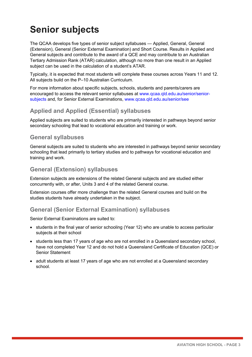# <span id="page-5-0"></span>**Senior subjects**

The QCAA develops five types of senior subject syllabuses — Applied, General, General (Extension), General (Senior External Examination) and Short Course. Results in Applied and General subjects and contribute to the award of a QCE and may contribute to an Australian Tertiary Admission Rank (ATAR) calculation, although no more than one result in an Applied subject can be used in the calculation of a student's ATAR.

Typically, it is expected that most students will complete these courses across Years 11 and 12. All subjects build on the P–10 Australian Curriculum.

For more information about specific subjects, schools, students and parents/carers are encouraged to access the relevant senior syllabuses at [www.qcaa.qld.edu.au/senior/senior](http://www.qcaa.qld.edu.au/senior/senior-subjects)[subjects](http://www.qcaa.qld.edu.au/senior/senior-subjects) and, for Senior External Examinations, [www.qcaa.qld.edu.au/senior/see](http://www.qcaa.qld.edu.au/senior/see)

#### **Applied and Applied (Essential) syllabuses**

Applied subjects are suited to students who are primarily interested in pathways beyond senior secondary schooling that lead to vocational education and training or work.

#### **General syllabuses**

General subjects are suited to students who are interested in pathways beyond senior secondary schooling that lead primarily to tertiary studies and to pathways for vocational education and training and work.

#### **General (Extension) syllabuses**

Extension subjects are extensions of the related General subjects and are studied either concurrently with, or after, Units 3 and 4 of the related General course.

Extension courses offer more challenge than the related General courses and build on the studies students have already undertaken in the subject.

#### **General (Senior External Examination) syllabuses**

Senior External Examinations are suited to:

- students in the final year of senior schooling (Year 12) who are unable to access particular subjects at their school
- students less than 17 years of age who are not enrolled in a Queensland secondary school, have not completed Year 12 and do not hold a Queensland Certificate of Education (QCE) or Senior Statement
- adult students at least 17 years of age who are not enrolled at a Queensland secondary school.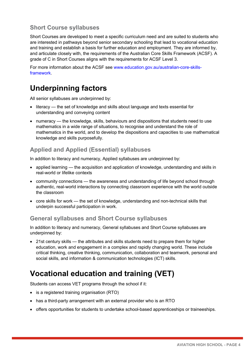#### **Short Course syllabuses**

Short Courses are developed to meet a specific curriculum need and are suited to students who are interested in pathways beyond senior secondary schooling that lead to vocational education and training and establish a basis for further education and employment. They are informed by, and articulate closely with, the requirements of the Australian Core Skills Framework (ACSF). A grade of C in Short Courses aligns with the requirements for ACSF Level 3.

For more information about the ACSF see [www.education.gov.au/australian-core-skills](http://www.education.gov.au/australian-core-skills-framework)[framework.](http://www.education.gov.au/australian-core-skills-framework)

# <span id="page-6-0"></span>**Underpinning factors**

All senior syllabuses are underpinned by:

- literacy the set of knowledge and skills about language and texts essential for understanding and conveying content
- numeracy the knowledge, skills, behaviours and dispositions that students need to use mathematics in a wide range of situations, to recognise and understand the role of mathematics in the world, and to develop the dispositions and capacities to use mathematical knowledge and skills purposefully.

#### **Applied and Applied (Essential) syllabuses**

In addition to literacy and numeracy, Applied syllabuses are underpinned by:

- applied learning the acquisition and application of knowledge, understanding and skills in real-world or lifelike contexts
- community connections the awareness and understanding of life beyond school through authentic, real-world interactions by connecting classroom experience with the world outside the classroom
- core skills for work the set of knowledge, understanding and non-technical skills that underpin successful participation in work.

#### **General syllabuses and Short Course syllabuses**

In addition to literacy and numeracy, General syllabuses and Short Course syllabuses are underpinned by:

• 21st century skills — the attributes and skills students need to prepare them for higher education, work and engagement in a complex and rapidly changing world. These include critical thinking, creative thinking, communication, collaboration and teamwork, personal and social skills, and information & communication technologies (ICT) skills.

# <span id="page-6-1"></span>**Vocational education and training (VET)**

Students can access VET programs through the school if it:

- is a registered training organisation (RTO)
- has a third-party arrangement with an external provider who is an RTO
- offers opportunities for students to undertake school-based apprenticeships or traineeships.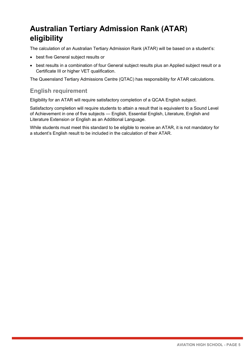# <span id="page-7-0"></span>**Australian Tertiary Admission Rank (ATAR) eligibility**

The calculation of an Australian Tertiary Admission Rank (ATAR) will be based on a student's:

- best five General subject results or
- best results in a combination of four General subject results plus an Applied subject result or a Certificate III or higher VET qualification.

The Queensland Tertiary Admissions Centre (QTAC) has responsibility for ATAR calculations.

#### **English requirement**

Eligibility for an ATAR will require satisfactory completion of a QCAA English subject.

Satisfactory completion will require students to attain a result that is equivalent to a Sound Level of Achievement in one of five subjects — English, Essential English, Literature, English and Literature Extension or English as an Additional Language.

While students must meet this standard to be eligible to receive an ATAR, it is not mandatory for a student's English result to be included in the calculation of their ATAR.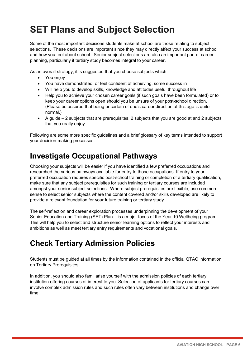# <span id="page-8-0"></span>**SET Plans and Subject Selection**

Some of the most important decisions students make at school are those relating to subject selections. These decisions are important since they may directly affect your success at school and how you feel about school. Senior subject selections are also an important part of career planning, particularly if tertiary study becomes integral to your career.

As an overall strategy, it is suggested that you choose subjects which:

- You enjoy
- You have demonstrated, or feel confident of achieving, some success in
- Will help you to develop skills, knowledge and attitudes useful throughout life
- Help you to achieve your chosen career goals (if such goals have been formulated) or to keep your career options open should you be unsure of your post-school direction. (Please be assured that being uncertain of one's career direction at this age is quite normal.)
- A guide 2 subjects that are prerequisites, 2 subjects that you are good at and 2 subjects that you really enjoy.

Following are some more specific guidelines and a brief glossary of key terms intended to support your decision-making processes.

### <span id="page-8-1"></span>**Investigate Occupational Pathways**

Choosing your subjects will be easier if you have identified a few preferred occupations and researched the various pathways available for entry to those occupations. If entry to your preferred occupation requires specific post-school training or completion of a tertiary qualification, make sure that any subject prerequisites for such training or tertiary courses are included amongst your senior subject selections. Where subject prerequisites are flexible, use common sense to select senior subjects where the content covered and/or skills developed are likely to provide a relevant foundation for your future training or tertiary study.

The self-reflection and career exploration processes underpinning the development of your Senior Education and Training (SET) Plan – is a major focus of the Year 10 Wellbeing program. This will help you to select and structure senior learning options to reflect your interests and ambitions as well as meet tertiary entry requirements and vocational goals.

### <span id="page-8-2"></span>**Check Tertiary Admission Policies**

Students must be guided at all times by the information contained in the official QTAC information on Tertiary Prerequisites.

In addition, you should also familiarise yourself with the admission policies of each tertiary institution offering courses of interest to you. Selection of applicants for tertiary courses can involve complex admission rules and such rules often vary between institutions and change over time.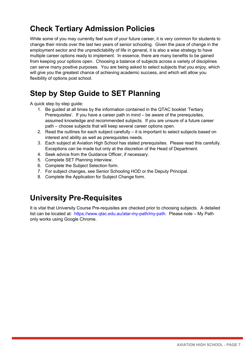# <span id="page-9-0"></span>**Check Tertiary Admission Policies**

While some of you may currently feel sure of your future career, it is very common for students to change their minds over the last two years of senior schooling. Given the pace of change in the employment sector and the unpredictability of life in general, it is also a wise strategy to have multiple career options ready to implement. In essence, there are many benefits to be gained from keeping your options open. Choosing a balance of subjects across a variety of disciplines can serve many positive purposes. You are being asked to select subjects that you enjoy, which will give you the greatest chance of achieving academic success, and which will allow you flexibility of options post school.

# <span id="page-9-1"></span>**Step by Step Guide to SET Planning**

A quick step by step guide:

- 1. Be guided at all times by the information contained in the QTAC booklet 'Tertiary Prerequisites'. If you have a career path in mind – be aware of the prerequisites, assumed knowledge and recommended subjects. If you are unsure of a future career path – choose subjects that will keep several career options open.
- 2. Read the outlines for each subject carefully  $-$  it is important to select subjects based on interest and ability as well as prerequisites needs.
- 3. Each subject at Aviation High School has stated prerequisites. Please read this carefully. Exceptions can be made but only at the discretion of the Head of Department.
- 4. Seek advice from the Guidance Officer, if necessary.
- 5. Complete SET Planning interview.
- 6. Complete the Subject Selection form.
- 7. For subject changes, see Senior Schooling HOD or the Deputy Principal.
- 8. Complete the Application for Subject Change form.

### <span id="page-9-2"></span>**University Pre-Requisites**

It is vital that University Course Pre-requisites are checked prior to choosing subjects. A detailed list can be located at: [https://www.qtac.edu.au/atar-my-path/my-path.](https://www.qtac.edu.au/atar-my-path/my-path) Please note – My Path only works using Google Chrome.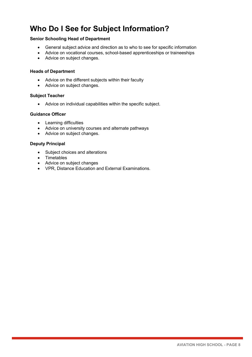# <span id="page-10-0"></span>**Who Do I See for Subject Information?**

#### **Senior Schooling Head of Department**

- General subject advice and direction as to who to see for specific information
- Advice on vocational courses, school-based apprenticeships or traineeships
- Advice on subject changes.

#### **Heads of Department**

- Advice on the different subjects within their faculty
- Advice on subject changes.

#### **Subject Teacher**

• Advice on individual capabilities within the specific subject.

#### **Guidance Officer**

- Learning difficulties
- Advice on university courses and alternate pathways
- Advice on subject changes.

#### **Deputy Principal**

- Subject choices and alterations
- Timetables
- Advice on subject changes
- VPR, Distance Education and External Examinations.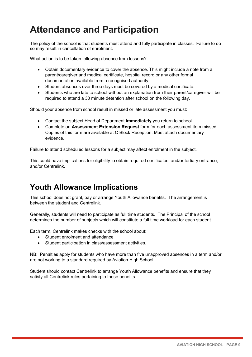# <span id="page-11-0"></span>**Attendance and Participation**

The policy of the school is that students must attend and fully participate in classes. Failure to do so may result in cancellation of enrolment.

What action is to be taken following absence from lessons?

- Obtain documentary evidence to cover the absence. This might include a note from a parent/caregiver and medical certificate, hospital record or any other formal documentation available from a recognised authority.
- Student absences over three days must be covered by a medical certificate.
- Students who are late to school without an explanation from their parent/caregiver will be required to attend a 30 minute detention after school on the following day.

Should your absence from school result in missed or late assessment you must:

- Contact the subject Head of Department **immediately** you return to school
- Complete an **Assessment Extension Request** form for each assessment item missed. Copies of this form are available at C Block Reception. Must attach documentary evidence.

Failure to attend scheduled lessons for a subject may affect enrolment in the subject.

This could have implications for eligibility to obtain required certificates, and/or tertiary entrance, and/or Centrelink.

### **Youth Allowance Implications**

This school does not grant, pay or arrange Youth Allowance benefits. The arrangement is between the student and Centrelink.

Generally, students will need to participate as full time students. The Principal of the school determines the number of subjects which will constitute a full time workload for each student.

Each term, Centrelink makes checks with the school about:

- Student enrolment and attendance
- Student participation in class/assessment activities.

NB: Penalties apply for students who have more than five unapproved absences in a term and/or are not working to a standard required by Aviation High School.

Student should contact Centrelink to arrange Youth Allowance benefits and ensure that they satisfy all Centrelink rules pertaining to these benefits.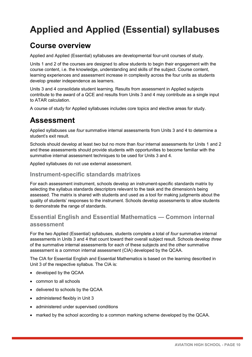# <span id="page-12-0"></span>**Applied and Applied (Essential) syllabuses**

### <span id="page-12-1"></span>**Course overview**

Applied and Applied (Essential) syllabuses are developmental four-unit courses of study.

Units 1 and 2 of the courses are designed to allow students to begin their engagement with the course content, i.e. the knowledge, understanding and skills of the subject. Course content, learning experiences and assessment increase in complexity across the four units as students develop greater independence as learners.

Units 3 and 4 consolidate student learning. Results from assessment in Applied subjects contribute to the award of a QCE and results from Units 3 and 4 may contribute as a single input to ATAR calculation.

A course of study for Applied syllabuses includes core topics and elective areas for study.

### <span id="page-12-2"></span>**Assessment**

Applied syllabuses use *four* summative internal assessments from Units 3 and 4 to determine a student's exit result.

Schools should develop at least *two* but no more than *four* internal assessments for Units 1 and 2 and these assessments should provide students with opportunities to become familiar with the summative internal assessment techniques to be used for Units 3 and 4.

Applied syllabuses do not use external assessment.

#### **Instrument-specific standards matrixes**

For each assessment instrument, schools develop an instrument-specific standards matrix by selecting the syllabus standards descriptors relevant to the task and the dimension/s being assessed. The matrix is shared with students and used as a tool for making judgments about the quality of students' responses to the instrument. Schools develop assessments to allow students to demonstrate the range of standards.

#### **Essential English and Essential Mathematics — Common internal assessment**

For the two Applied (Essential) syllabuses, students complete a total of *four* summative internal assessments in Units 3 and 4 that count toward their overall subject result. Schools develop *three* of the summative internal assessments for each of these subjects and the other summative assessment is a common internal assessment (CIA) developed by the QCAA.

The CIA for Essential English and Essential Mathematics is based on the learning described in Unit 3 of the respective syllabus. The CIA is:

- developed by the QCAA
- common to all schools
- delivered to schools by the QCAA
- administered flexibly in Unit 3
- administered under supervised conditions
- marked by the school according to a common marking scheme developed by the QCAA.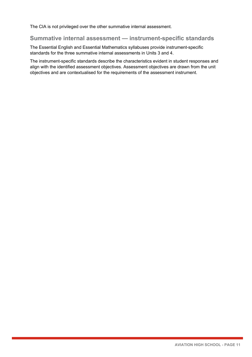The CIA is not privileged over the other summative internal assessment.

#### **Summative internal assessment — instrument-specific standards**

The Essential English and Essential Mathematics syllabuses provide instrument-specific standards for the three summative internal assessments in Units 3 and 4.

The instrument-specific standards describe the characteristics evident in student responses and align with the identified assessment objectives. Assessment objectives are drawn from the unit objectives and are contextualised for the requirements of the assessment instrument.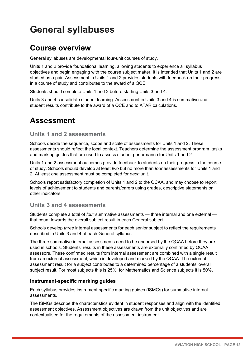# <span id="page-14-0"></span>**General syllabuses**

### <span id="page-14-1"></span>**Course overview**

General syllabuses are developmental four-unit courses of study.

Units 1 and 2 provide foundational learning, allowing students to experience all syllabus objectives and begin engaging with the course subject matter. It is intended that Units 1 and 2 are studied as a pair. Assessment in Units 1 and 2 provides students with feedback on their progress in a course of study and contributes to the award of a QCE.

Students should complete Units 1 and 2 before starting Units 3 and 4.

Units 3 and 4 consolidate student learning. Assessment in Units 3 and 4 is summative and student results contribute to the award of a QCE and to ATAR calculations.

## <span id="page-14-2"></span>**Assessment**

#### **Units 1 and 2 assessments**

Schools decide the sequence, scope and scale of assessments for Units 1 and 2. These assessments should reflect the local context. Teachers determine the assessment program, tasks and marking guides that are used to assess student performance for Units 1 and 2.

Units 1 and 2 assessment outcomes provide feedback to students on their progress in the course of study. Schools should develop at least *two* but no more than *four* assessments for Units 1 and 2. At least *one* assessment must be completed for *each* unit.

Schools report satisfactory completion of Units 1 and 2 to the QCAA, and may choose to report levels of achievement to students and parents/carers using grades, descriptive statements or other indicators.

#### **Units 3 and 4 assessments**

Students complete a total of *four* summative assessments — three internal and one external that count towards the overall subject result in each General subject.

Schools develop *three* internal assessments for each senior subject to reflect the requirements described in Units 3 and 4 of each General syllabus.

The three summative internal assessments need to be endorsed by the QCAA before they are used in schools. Students' results in these assessments are externally confirmed by QCAA assessors. These confirmed results from internal assessment are combined with a single result from an external assessment, which is developed and marked by the QCAA. The external assessment result for a subject contributes to a determined percentage of a students' overall subject result. For most subjects this is 25%; for Mathematics and Science subjects it is 50%.

#### **Instrument-specific marking guides**

Each syllabus provides instrument-specific marking guides (ISMGs) for summative internal assessments.

The ISMGs describe the characteristics evident in student responses and align with the identified assessment objectives. Assessment objectives are drawn from the unit objectives and are contextualised for the requirements of the assessment instrument.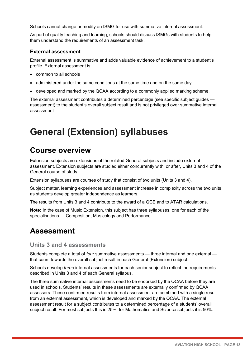Schools cannot change or modify an ISMG for use with summative internal assessment.

As part of quality teaching and learning, schools should discuss ISMGs with students to help them understand the requirements of an assessment task.

#### **External assessment**

External assessment is summative and adds valuable evidence of achievement to a student's profile. External assessment is:

- common to all schools
- administered under the same conditions at the same time and on the same day
- developed and marked by the QCAA according to a commonly applied marking scheme.

The external assessment contributes a determined percentage (see specific subject guides assessment) to the student's overall subject result and is not privileged over summative internal assessment.

# <span id="page-15-0"></span>**General (Extension) syllabuses**

## <span id="page-15-1"></span>**Course overview**

Extension subjects are extensions of the related General subjects and include external assessment. Extension subjects are studied either concurrently with, or after, Units 3 and 4 of the General course of study.

Extension syllabuses are courses of study that consist of two units (Units 3 and 4).

Subject matter, learning experiences and assessment increase in complexity across the two units as students develop greater independence as learners.

The results from Units 3 and 4 contribute to the award of a QCE and to ATAR calculations.

**Note:** In the case of Music Extension, this subject has three syllabuses, one for each of the specialisations — Composition, Musicology and Performance.

### <span id="page-15-2"></span>**Assessment**

#### **Units 3 and 4 assessments**

Students complete a total of *four* summative assessments — three internal and one external that count towards the overall subject result in each General (Extension) subject.

Schools develop *three* internal assessments for each senior subject to reflect the requirements described in Units 3 and 4 of each General syllabus.

The three summative internal assessments need to be endorsed by the QCAA before they are used in schools. Students' results in these assessments are externally confirmed by QCAA assessors. These confirmed results from internal assessment are combined with a single result from an external assessment, which is developed and marked by the QCAA. The external assessment result for a subject contributes to a determined percentage of a students' overall subject result. For most subjects this is 25%; for Mathematics and Science subjects it is 50%.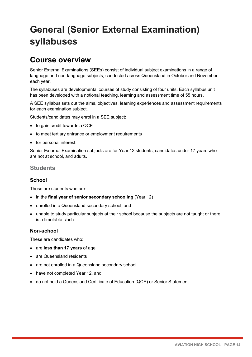# <span id="page-16-0"></span>**General (Senior External Examination) syllabuses**

### <span id="page-16-1"></span>**Course overview**

Senior External Examinations (SEEs) consist of individual subject examinations in a range of language and non-language subjects, conducted across Queensland in October and November each year.

The syllabuses are developmental courses of study consisting of four units. Each syllabus unit has been developed with a notional teaching, learning and assessment time of 55 hours.

A SEE syllabus sets out the aims, objectives, learning experiences and assessment requirements for each examination subject.

Students/candidates may enrol in a SEE subject:

- to gain credit towards a QCE
- to meet tertiary entrance or employment requirements
- for personal interest.

Senior External Examination subjects are for Year 12 students, candidates under 17 years who are not at school, and adults.

#### **Students**

#### **School**

These are students who are:

- in the **final year of senior secondary schooling** (Year 12)
- enrolled in a Queensland secondary school, and
- unable to study particular subjects at their school because the subjects are not taught or there is a timetable clash.

#### **Non-school**

These are candidates who:

- are **less than 17 years** of age
- are Queensland residents
- are not enrolled in a Queensland secondary school
- have not completed Year 12, and
- do not hold a Queensland Certificate of Education (QCE) or Senior Statement.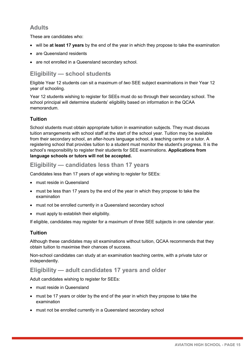#### **Adults**

These are candidates who:

- will be **at least 17 years** by the end of the year in which they propose to take the examination
- are Queensland residents
- are not enrolled in a Queensland secondary school.

#### **Eligibility — school students**

Eligible Year 12 students can sit a maximum of *two* SEE subject examinations in their Year 12 year of schooling.

Year 12 students wishing to register for SEEs must do so through their secondary school. The school principal will determine students' eligibility based on information in the QCAA memorandum.

#### **Tuition**

School students must obtain appropriate tuition in examination subjects. They must discuss tuition arrangements with school staff at the start of the school year. Tuition may be available from their secondary school, an after-hours language school, a teaching centre or a tutor. A registering school that provides tuition to a student must monitor the student's progress. It is the school's responsibility to register their students for SEE examinations. **Applications from language schools or tutors will not be accepted.**

#### **Eligibility — candidates less than 17 years**

Candidates less than 17 years of age wishing to register for SEEs:

- must reside in Queensland
- must be less than 17 years by the end of the year in which they propose to take the examination
- must not be enrolled currently in a Queensland secondary school
- must apply to establish their eligibility.

If eligible, candidates may register for a maximum of *three* SEE subjects in one calendar year.

#### **Tuition**

Although these candidates may sit examinations without tuition, QCAA recommends that they obtain tuition to maximise their chances of success.

Non-school candidates can study at an examination teaching centre, with a private tutor or independently.

#### **Eligibility — adult candidates 17 years and older**

Adult candidates wishing to register for SEEs:

- must reside in Queensland
- must be 17 years or older by the end of the year in which they propose to take the examination
- must not be enrolled currently in a Queensland secondary school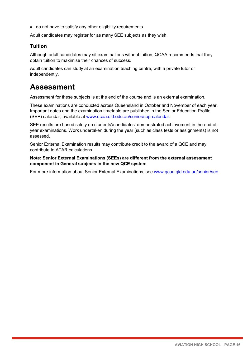• do not have to satisfy any other eligibility requirements.

Adult candidates may register for as many SEE subjects as they wish.

#### **Tuition**

Although adult candidates may sit examinations without tuition, QCAA recommends that they obtain tuition to maximise their chances of success.

Adult candidates can study at an examination teaching centre, with a private tutor or independently.

### <span id="page-18-0"></span>**Assessment**

Assessment for these subjects is at the end of the course and is an external examination.

These examinations are conducted across Queensland in October and November of each year. Important dates and the examination timetable are published in the Senior Education Profile (SEP) calendar, available at [www.qcaa.qld.edu.au/senior/sep-calendar.](http://www.qcaa.qld.edu.au/senior/sep-calendar)

SEE results are based solely on students'/candidates' demonstrated achievement in the end-ofyear examinations. Work undertaken during the year (such as class tests or assignments) is not assessed.

Senior External Examination results may contribute credit to the award of a QCE and may contribute to ATAR calculations.

**Note: Senior External Examinations (SEEs) are different from the external assessment component in General subjects in the new QCE system**.

For more information about Senior External Examinations, see [www.qcaa.qld.edu.au/senior/see.](https://www.qcaa.qld.edu.au/senior/see)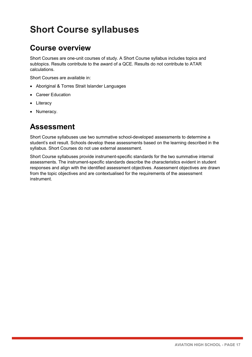# <span id="page-19-0"></span>**Short Course syllabuses**

## <span id="page-19-1"></span>**Course overview**

Short Courses are one-unit courses of study. A Short Course syllabus includes topics and subtopics. Results contribute to the award of a QCE. Results do not contribute to ATAR calculations.

Short Courses are available in:

- Aboriginal & Torres Strait Islander Languages
- Career Education
- Literacy
- Numeracy.

### <span id="page-19-2"></span>**Assessment**

Short Course syllabuses use two summative school-developed assessments to determine a student's exit result. Schools develop these assessments based on the learning described in the syllabus. Short Courses do not use external assessment.

Short Course syllabuses provide instrument-specific standards for the two summative internal assessments. The instrument-specific standards describe the characteristics evident in student responses and align with the identified assessment objectives. Assessment objectives are drawn from the topic objectives and are contextualised for the requirements of the assessment instrument.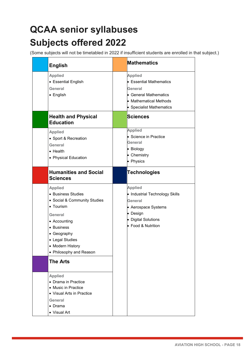# <span id="page-20-0"></span>**QCAA senior syllabuses Subjects offered 2022**

<span id="page-20-1"></span>(Some subjects will not be timetabled in 2022 if insufficient students are enrolled in that subject.)

| <b>English</b>                                                                                                                                                                                            | <b>Mathematics</b>                                                                                                                          |
|-----------------------------------------------------------------------------------------------------------------------------------------------------------------------------------------------------------|---------------------------------------------------------------------------------------------------------------------------------------------|
| <b>Applied</b><br>• Essential English<br>General<br>• English                                                                                                                                             | <b>Applied</b><br>• Essential Mathematics<br>General<br>• General Mathematics<br>• Mathematical Methods<br>• Specialist Mathematics         |
| <b>Health and Physical</b><br><b>Education</b>                                                                                                                                                            | <b>Sciences</b>                                                                                                                             |
| <b>Applied</b><br>• Sport & Recreation<br>General<br>$\bullet$ Health<br>• Physical Education                                                                                                             | <b>Applied</b><br>• Science in Practice<br>General<br>• Biology<br>• Chemistry<br>• Physics                                                 |
| <b>Humanities and Social</b><br><b>Sciences</b>                                                                                                                                                           | <b>Technologies</b>                                                                                                                         |
| <b>Applied</b><br>• Business Studies<br>• Social & Community Studies<br>• Tourism<br>General<br>• Accounting<br>• Business<br>• Geography<br>• Legal Studies<br>Modern History<br>• Philosophy and Reason | <b>Applied</b><br>• Industrial Technology Skills<br>General<br>• Aerospace Systems<br>• Design<br>• Digital Solutions<br>• Food & Nutrition |
| <b>The Arts</b><br><b>Applied</b><br>• Drama in Practice<br>• Music in Practice<br>• Visual Arts in Practice<br>General<br>$\bullet$ Drama<br>• Visual Art                                                |                                                                                                                                             |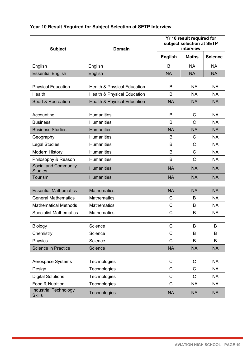#### **Year 10 Result Required for Subject Selection at SETP Interview**

| <b>Subject</b>                                | <b>Domain</b>                          | Yr 10 result required for<br>subject selection at SETP<br>interview |              |                |
|-----------------------------------------------|----------------------------------------|---------------------------------------------------------------------|--------------|----------------|
|                                               |                                        | <b>English</b>                                                      | <b>Maths</b> | <b>Science</b> |
| English                                       | English                                | B                                                                   | <b>NA</b>    | <b>NA</b>      |
| <b>Essential English</b>                      | English                                | <b>NA</b>                                                           | <b>NA</b>    | <b>NA</b>      |
|                                               |                                        |                                                                     |              |                |
| <b>Physical Education</b>                     | <b>Health &amp; Physical Education</b> | B                                                                   | <b>NA</b>    | <b>NA</b>      |
| Health                                        | <b>Health &amp; Physical Education</b> | B                                                                   | <b>NA</b>    | <b>NA</b>      |
| Sport & Recreation                            | <b>Health &amp; Physical Education</b> | <b>NA</b>                                                           | <b>NA</b>    | <b>NA</b>      |
| Accounting                                    | <b>Humanities</b>                      | B                                                                   | C            | <b>NA</b>      |
| <b>Business</b>                               | <b>Humanities</b>                      | B                                                                   | $\mathsf{C}$ | <b>NA</b>      |
| <b>Business Studies</b>                       | <b>Humanities</b>                      | <b>NA</b>                                                           | <b>NA</b>    | <b>NA</b>      |
| Geography                                     | <b>Humanities</b>                      | B                                                                   | $\mathsf{C}$ | <b>NA</b>      |
| <b>Legal Studies</b>                          | <b>Humanities</b>                      | B                                                                   | $\mathsf{C}$ | <b>NA</b>      |
| <b>Modern History</b>                         | <b>Humanities</b>                      | B                                                                   | $\mathsf{C}$ | <b>NA</b>      |
| Philosophy & Reason                           | <b>Humanities</b>                      | B                                                                   | $\mathsf{C}$ | <b>NA</b>      |
| Social and Community<br><b>Studies</b>        | <b>Humanities</b>                      | <b>NA</b>                                                           | <b>NA</b>    | <b>NA</b>      |
| <b>Tourism</b>                                | <b>Humanities</b>                      | <b>NA</b>                                                           | <b>NA</b>    | <b>NA</b>      |
|                                               |                                        |                                                                     |              |                |
| <b>Essential Mathematics</b>                  | <b>Mathematics</b>                     | <b>NA</b>                                                           | <b>NA</b>    | <b>NA</b>      |
| <b>General Mathematics</b>                    | <b>Mathematics</b>                     | C                                                                   | B            | <b>NA</b>      |
| <b>Mathematical Methods</b>                   | <b>Mathematics</b>                     | C                                                                   | B            | <b>NA</b>      |
| <b>Specialist Mathematics</b>                 | <b>Mathematics</b>                     | C                                                                   | B            | <b>NA</b>      |
| Biology                                       | Science                                | $\mathsf C$                                                         | B            | $\sf B$        |
| Chemistry                                     | Science                                | C                                                                   | B            | B              |
| Physics                                       | Science                                | $\mathsf C$                                                         | B            | B              |
| Science in Practice                           | Science                                | <b>NA</b>                                                           | <b>NA</b>    | <b>NA</b>      |
|                                               |                                        |                                                                     |              |                |
| Aerospace Systems                             | Technologies                           | $\mathsf C$                                                         | $\mathsf C$  | <b>NA</b>      |
| Design                                        | Technologies                           | C                                                                   | $\mathsf{C}$ | <b>NA</b>      |
| <b>Digital Solutions</b>                      | Technologies                           | $\mathsf C$                                                         | $\mathsf{C}$ | <b>NA</b>      |
| Food & Nutrition                              | Technologies                           | $\mathsf C$                                                         | <b>NA</b>    | <b>NA</b>      |
| <b>Industrial Technology</b><br><b>Skills</b> | Technologies                           | <b>NA</b>                                                           | <b>NA</b>    | <b>NA</b>      |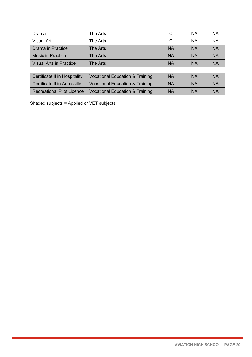| Drama                          | The Arts | C         | <b>NA</b> | <b>NA</b> |
|--------------------------------|----------|-----------|-----------|-----------|
| <b>Visual Art</b>              | The Arts | C         | <b>NA</b> | <b>NA</b> |
| Drama in Practice              | The Arts | <b>NA</b> | <b>NA</b> | <b>NA</b> |
| <b>Music in Practice</b>       | The Arts | <b>NA</b> | <b>NA</b> | <b>NA</b> |
| <b>Visual Arts in Practice</b> | The Arts | <b>NA</b> | <b>NA</b> | <b>NA</b> |

| Certificate II in Hospitality     | <b>Vocational Education &amp; Training</b> | ΝA | <b>NA</b> | <b>NA</b> |
|-----------------------------------|--------------------------------------------|----|-----------|-----------|
| Certificate II in Aeroskills      | Vocational Education & Training            | ΝA | <b>NA</b> | <b>NA</b> |
| <b>Recreational Pilot Licence</b> | Vocational Education & Training            | ΝA | <b>NA</b> | <b>NA</b> |

Shaded subjects = Applied or VET subjects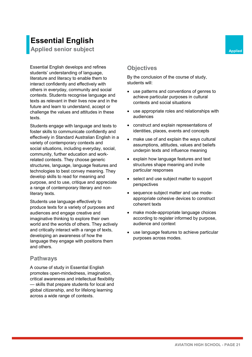# **Essential English**

**Applied senior subject Applied Applied Applied** 

Essential English develops and refines students' understanding of language, literature and literacy to enable them to interact confidently and effectively with others in everyday, community and social contexts. Students recognise language and texts as relevant in their lives now and in the future and learn to understand, accept or challenge the values and attitudes in these texts.

Students engage with language and texts to foster skills to communicate confidently and effectively in Standard Australian English in a variety of contemporary contexts and social situations, including everyday, social, community, further education and workrelated contexts. They choose generic structures, language, language features and technologies to best convey meaning. They develop skills to read for meaning and purpose, and to use, critique and appreciate a range of contemporary literary and nonliterary texts.

Students use language effectively to produce texts for a variety of purposes and audiences and engage creative and imaginative thinking to explore their own world and the worlds of others. They actively and critically interact with a range of texts, developing an awareness of how the language they engage with positions them and others.

#### **Pathways**

A course of study in Essential English promotes open-mindedness, imagination, critical awareness and intellectual flexibility — skills that prepare students for local and global citizenship, and for lifelong learning across a wide range of contexts.

#### **Objectives**

By the conclusion of the course of study, students will:

- use patterns and conventions of genres to achieve particular purposes in cultural contexts and social situations
- use appropriate roles and relationships with audiences
- construct and explain representations of identities, places, events and concepts
- make use of and explain the ways cultural assumptions, attitudes, values and beliefs underpin texts and influence meaning
- explain how language features and text structures shape meaning and invite particular responses
- select and use subject matter to support perspectives
- sequence subject matter and use modeappropriate cohesive devices to construct coherent texts
- make mode-appropriate language choices according to register informed by purpose, audience and context
- use language features to achieve particular purposes across modes.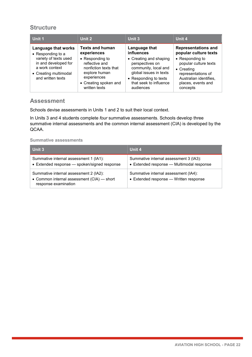#### **Structure**

| Unit 1                                                                                                        | Unit 2                                                                                                                               | Unit 3                                                                                                                                                      | Unit 4                                                                                                                                           |
|---------------------------------------------------------------------------------------------------------------|--------------------------------------------------------------------------------------------------------------------------------------|-------------------------------------------------------------------------------------------------------------------------------------------------------------|--------------------------------------------------------------------------------------------------------------------------------------------------|
| Language that works<br>• Responding to a                                                                      | <b>Texts and human</b><br>experiences                                                                                                | Language that<br>influences                                                                                                                                 | <b>Representations and</b><br>popular culture texts                                                                                              |
| variety of texts used<br>in and developed for<br>a work context<br>• Creating multimodal<br>and written texts | • Responding to<br>reflective and<br>nonfiction texts that<br>explore human<br>experiences<br>• Creating spoken and<br>written texts | • Creating and shaping<br>perspectives on<br>community, local and<br>global issues in texts<br>• Responding to texts<br>that seek to influence<br>audiences | • Responding to<br>popular culture texts<br>$\bullet$ Creating<br>representations of<br>Australian identifies,<br>places, events and<br>concepts |

#### **Assessment**

Schools devise assessments in Units 1 and 2 to suit their local context.

In Units 3 and 4 students complete *four* summative assessments. Schools develop three summative internal assessments and the common internal assessment (CIA) is developed by the QCAA.

#### **Summative assessments**

| Unit 3                                                                                                       | Unit 4                                                                              |
|--------------------------------------------------------------------------------------------------------------|-------------------------------------------------------------------------------------|
| Summative internal assessment 1 (IA1):<br>• Extended response - spoken/signed response                       | Summative internal assessment 3 (IA3):<br>• Extended response - Multimodal response |
| Summative internal assessment 2 (IA2):<br>• Common internal assessment (CIA) - short<br>response examination | Summative internal assessment (IA4):<br>• Extended response - Written response      |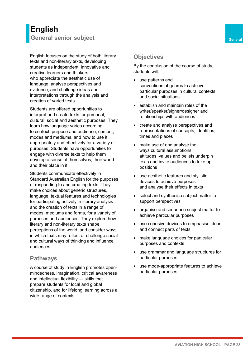## **English General senior subject General**

English focuses on the study of both literary texts and non-literary texts, developing students as independent, innovative and creative learners and thinkers who appreciate the aesthetic use of language, analyse perspectives and evidence, and challenge ideas and interpretations through the analysis and creation of varied texts.

Students are offered opportunities to interpret and create texts for personal, cultural, social and aesthetic purposes. They learn how language varies according to context, purpose and audience, content, modes and mediums, and how to use it appropriately and effectively for a variety of purposes. Students have opportunities to engage with diverse texts to help them develop a sense of themselves, their world and their place in it.

Students communicate effectively in Standard Australian English for the purposes of responding to and creating texts. They make choices about generic structures, language, textual features and technologies for participating actively in literary analysis and the creation of texts in a range of modes, mediums and forms, for a variety of purposes and audiences. They explore how literary and non-literary texts shape perceptions of the world, and consider ways in which texts may reflect or challenge social and cultural ways of thinking and influence audiences.

#### **Pathways**

A course of study in English promotes openmindedness, imagination, critical awareness and intellectual flexibility — skills that prepare students for local and global citizenship, and for lifelong learning across a wide range of contexts.

#### **Objectives**

By the conclusion of the course of study, students will:

- use patterns and conventions of genres to achieve particular purposes in cultural contexts and social situations
- establish and maintain roles of the writer/speaker/signer/designer and relationships with audiences
- create and analyse perspectives and representations of concepts, identities, times and places
- make use of and analyse the ways cultural assumptions, attitudes, values and beliefs underpin texts and invite audiences to take up positions
- use aesthetic features and stylistic devices to achieve purposes and analyse their effects in texts
- select and synthesise subject matter to support perspectives
- organise and sequence subject matter to achieve particular purposes
- use cohesive devices to emphasise ideas and connect parts of texts
- make language choices for particular purposes and contexts
- use grammar and language structures for particular purposes
- use mode-appropriate features to achieve particular purposes.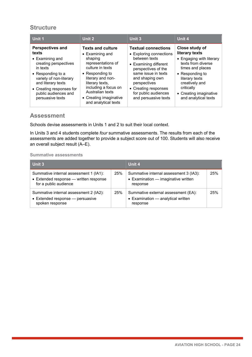#### **Structure**

| Unit 1                                                                                                                                                                                                                          | Unit 2                                                                                                                                                                                                                                                    | Unit 3                                                                                                                                                                                                                                                   | Unit 4                                                                                                                                                                                                                        |
|---------------------------------------------------------------------------------------------------------------------------------------------------------------------------------------------------------------------------------|-----------------------------------------------------------------------------------------------------------------------------------------------------------------------------------------------------------------------------------------------------------|----------------------------------------------------------------------------------------------------------------------------------------------------------------------------------------------------------------------------------------------------------|-------------------------------------------------------------------------------------------------------------------------------------------------------------------------------------------------------------------------------|
| Perspectives and<br>texts<br>• Examining and<br>creating perspectives<br>in texts<br>• Responding to a<br>variety of non-literary<br>and literary texts<br>• Creating responses for<br>public audiences and<br>persuasive texts | <b>Texts and culture</b><br>• Examining and<br>shaping<br>representations of<br>culture in texts<br>• Responding to<br>literary and non-<br>literary texts,<br>including a focus on<br>Australian texts<br>• Creating imaginative<br>and analytical texts | <b>Textual connections</b><br>• Exploring connections<br>between texts<br>• Examining different<br>perspectives of the<br>same issue in texts<br>and shaping own<br>perspectives<br>• Creating responses<br>for public audiences<br>and persuasive texts | Close study of<br>literary texts<br>• Engaging with literary<br>texts from diverse<br>times and places<br>• Responding to<br>literary texts<br>creatively and<br>critically<br>• Creating imaginative<br>and analytical texts |

#### **Assessment**

Schools devise assessments in Units 1 and 2 to suit their local context.

In Units 3 and 4 students complete *four* summative assessments. The results from each of the assessments are added together to provide a subject score out of 100. Students will also receive an overall subject result (A–E).

#### **Summative assessments**

| Unit 3                                                                                                    |     | Unit 4                                                                                    |     |
|-----------------------------------------------------------------------------------------------------------|-----|-------------------------------------------------------------------------------------------|-----|
| Summative internal assessment 1 (IA1):<br>• Extended response - written response<br>for a public audience | 25% | Summative internal assessment 3 (IA3):<br>• Examination - imaginative written<br>response | 25% |
| Summative internal assessment 2 (IA2):<br>• Extended response - persuasive<br>spoken response             | 25% | Summative external assessment (EA):<br>• Examination - analytical written<br>response     | 25% |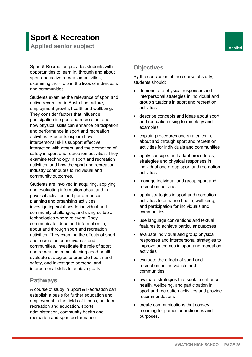# **Sport & Recreation**

**Applied senior subject Applied Applied Applied** 

Sport & Recreation provides students with opportunities to learn in, through and about sport and active recreation activities, examining their role in the lives of individuals and communities.

Students examine the relevance of sport and active recreation in Australian culture, employment growth, health and wellbeing. They consider factors that influence participation in sport and recreation, and how physical skills can enhance participation and performance in sport and recreation activities. Students explore how interpersonal skills support effective interaction with others, and the promotion of safety in sport and recreation activities. They examine technology in sport and recreation activities, and how the sport and recreation industry contributes to individual and community outcomes.

Students are involved in acquiring, applying and evaluating information about and in physical activities and performances, planning and organising activities, investigating solutions to individual and community challenges, and using suitable technologies where relevant. They communicate ideas and information in, about and through sport and recreation activities. They examine the effects of sport and recreation on individuals and communities, investigate the role of sport and recreation in maintaining good health, evaluate strategies to promote health and safety, and investigate personal and interpersonal skills to achieve goals.

#### **Pathways**

A course of study in Sport & Recreation can establish a basis for further education and employment in the fields of fitness, outdoor recreation and education, sports administration, community health and recreation and sport performance.

#### **Objectives**

By the conclusion of the course of study, students should:

- demonstrate physical responses and interpersonal strategies in individual and group situations in sport and recreation activities
- describe concepts and ideas about sport and recreation using terminology and examples
- explain procedures and strategies in, about and through sport and recreation activities for individuals and communities
- apply concepts and adapt procedures, strategies and physical responses in individual and group sport and recreation activities
- manage individual and group sport and recreation activities
- apply strategies in sport and recreation activities to enhance health, wellbeing, and participation for individuals and communities
- use language conventions and textual features to achieve particular purposes
- evaluate individual and group physical responses and interpersonal strategies to improve outcomes in sport and recreation activities
- evaluate the effects of sport and recreation on individuals and communities
- evaluate strategies that seek to enhance health, wellbeing, and participation in sport and recreation activities and provide recommendations
- create communications that convey meaning for particular audiences and purposes.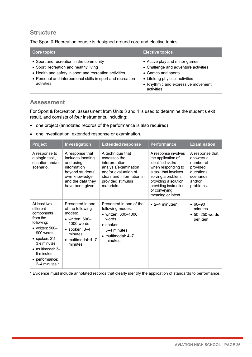#### **Structure**

The Sport & Recreation course is designed around core and elective topics.

| <b>Core topics</b>                                                                                                                                                                                                       | <b>Elective topics</b>                                                                                                                                                            |
|--------------------------------------------------------------------------------------------------------------------------------------------------------------------------------------------------------------------------|-----------------------------------------------------------------------------------------------------------------------------------------------------------------------------------|
| • Sport and recreation in the community<br>• Sport, recreation and healthy living<br>• Health and safety in sport and recreation activities<br>• Personal and interpersonal skills in sport and recreation<br>activities | • Active play and minor games<br>• Challenge and adventure activities<br>• Games and sports<br>• Lifelong physical activities<br>• Rhythmic and expressive movement<br>activities |

#### **Assessment**

For Sport & Recreation, assessment from Units 3 and 4 is used to determine the student's exit result, and consists of *four* instruments, including:

- one project (annotated records of the performance is also required)
- one investigation, extended response or examination.

| <b>Project</b>                                                                                                                                                                                                                          | Investigation                                                                                                                                                        | <b>Extended response</b>                                                                                                                                           | <b>Performance</b>                                                                                                                                                                                                          | <b>Examination</b>                                                                                      |
|-----------------------------------------------------------------------------------------------------------------------------------------------------------------------------------------------------------------------------------------|----------------------------------------------------------------------------------------------------------------------------------------------------------------------|--------------------------------------------------------------------------------------------------------------------------------------------------------------------|-----------------------------------------------------------------------------------------------------------------------------------------------------------------------------------------------------------------------------|---------------------------------------------------------------------------------------------------------|
| A response to<br>a single task,<br>situation and/or<br>scenario.                                                                                                                                                                        | A response that<br>includes locating<br>and using<br>information<br>beyond students'<br>own knowledge<br>and the data they<br>have been given.                       | A technique that<br>assesses the<br>interpretation,<br>analysis/examination<br>and/or evaluation of<br>ideas and information in<br>provided stimulus<br>materials. | A response involves<br>the application of<br>identified skill/s<br>when responding to<br>a task that involves<br>solving a problem,<br>providing a solution,<br>providing instruction<br>or conveying<br>meaning or intent. | A response that<br>answers a<br>number of<br>provided<br>questions,<br>scenarios<br>and/or<br>problems. |
| At least two<br>different<br>components<br>from the<br>following:<br>• written: $500-$<br>900 words<br>• spoken: $2\frac{1}{2}$<br>31/ <sub>2</sub> minutes<br>$\bullet$ multimodal: 3-<br>6 minutes<br>• performance:<br>2–4 minutes.* | Presented in one<br>of the following<br>modes:<br>$\bullet$ written: 600-<br>1000 words<br>$\bullet$ spoken: 3–4<br>minutes<br>$\bullet$ multimodal: 4-7<br>minutes. | Presented in one of the<br>following modes:<br>• written: 600-1000<br>words<br>• spoken:<br>3–4 minutes<br>$\bullet$ multimodal: 4-7<br>minutes.                   | $\bullet$ 2–4 minutes*                                                                                                                                                                                                      | $• 60 - 90$<br>minutes<br>$\bullet$ 50-250 words<br>per item                                            |

\* Evidence must include annotated records that clearly identify the application of standards to performance.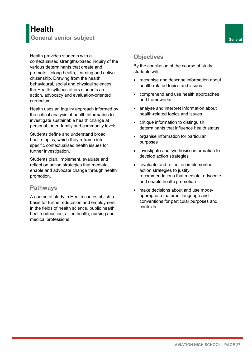# **Health General senior subject General**

Health provides students with a contextualised strengths-based inquiry of the various determinants that create and promote lifelong health, learning and active citizenship. Drawing from the health, behavioural, social and physical sciences, the Health syllabus offers students an action, advocacy and evaluation-oriented curriculum.

Health uses an inquiry approach informed by the critical analysis of health information to investigate sustainable health change at personal, peer, family and community levels.

Students define and understand broad health topics, which they reframe into specific contextualised health issues for further investigation.

Students plan, implement, evaluate and reflect on action strategies that mediate, enable and advocate change through health promotion.

#### **Pathways**

A course of study in Health can establish a basis for further education and employment in the fields of health science, public health, health education, allied health, nursing and medical professions.

#### **Objectives**

By the conclusion of the course of study, students will:

- recognise and describe information about health-related topics and issues
- comprehend and use health approaches and frameworks
- analyse and interpret information about health-related topics and issues
- critique information to distinguish determinants that influence health status
- organise information for particular purposes
- investigate and synthesise information to develop action strategies
- evaluate and reflect on implemented action strategies to justify recommendations that mediate, advocate and enable health promotion
- make decisions about and use modeappropriate features, language and conventions for particular purposes and contexts.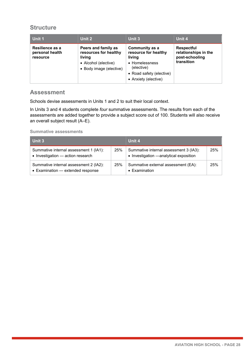#### **Structure**

| Unit 1                                         | Unit 2                                                                                                    | <b>Unit 3</b>                                                                                                                               | Unit 4                                                                    |
|------------------------------------------------|-----------------------------------------------------------------------------------------------------------|---------------------------------------------------------------------------------------------------------------------------------------------|---------------------------------------------------------------------------|
| Resilience as a<br>personal health<br>resource | Peers and family as<br>resources for healthy<br>living<br>• Alcohol (elective)<br>• Body image (elective) | <b>Community as a</b><br>resource for healthy<br>living<br>• Homelessness<br>(elective)<br>• Road safety (elective)<br>• Anxiety (elective) | <b>Respectful</b><br>relationships in the<br>post-schooling<br>transition |

#### **Assessment**

Schools devise assessments in Units 1 and 2 to suit their local context.

In Units 3 and 4 students complete *four* summative assessments. The results from each of the assessments are added together to provide a subject score out of 100. Students will also receive an overall subject result (A–E).

#### **Summative assessments**

| Unit 3                                                                      |     | Unit 4                                                                            |     |
|-----------------------------------------------------------------------------|-----|-----------------------------------------------------------------------------------|-----|
| Summative internal assessment 1 (IA1):<br>• Investigation - action research | 25% | Summative internal assessment 3 (IA3):<br>• Investigation - analytical exposition | 25% |
| Summative internal assessment 2 (IA2):<br>• Examination - extended response | 25% | Summative external assessment (EA):<br>• Examination                              | 25% |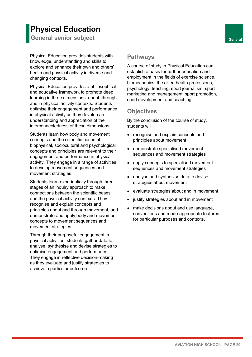# **Physical Education**

**General senior subject General** 

Physical Education provides students with knowledge, understanding and skills to explore and enhance their own and others' health and physical activity in diverse and changing contexts.

Physical Education provides a philosophical and educative framework to promote deep learning in three dimensions: about, through and in physical activity contexts. Students optimise their engagement and performance in physical activity as they develop an understanding and appreciation of the interconnectedness of these dimensions.

Students learn how body and movement concepts and the scientific bases of biophysical, sociocultural and psychological concepts and principles are relevant to their engagement and performance in physical activity. They engage in a range of activities to develop movement sequences and movement strategies.

Students learn experientially through three stages of an inquiry approach to make connections between the scientific bases and the physical activity contexts. They recognise and explain concepts and principles about and through movement, and demonstrate and apply body and movement concepts to movement sequences and movement strategies.

Through their purposeful engagement in physical activities, students gather data to analyse, synthesise and devise strategies to optimise engagement and performance. They engage in reflective decision-making as they evaluate and justify strategies to achieve a particular outcome.

#### **Pathways**

A course of study in Physical Education can establish a basis for further education and employment in the fields of exercise science, biomechanics, the allied health professions, psychology, teaching, sport journalism, sport marketing and management, sport promotion, sport development and coaching.

#### **Objectives**

By the conclusion of the course of study, students will:

- recognise and explain concepts and principles about movement
- demonstrate specialised movement sequences and movement strategies
- apply concepts to specialised movement sequences and movement strategies
- analyse and synthesise data to devise strategies about movement
- evaluate strategies about and in movement
- justify strategies about and in movement
- make decisions about and use language, conventions and mode-appropriate features for particular purposes and contexts.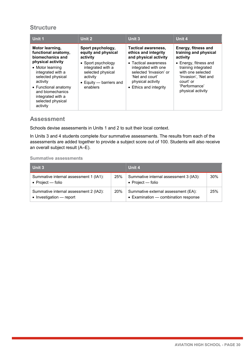#### **Structure**

| Unit 1                                                                                                                                                                                        | Unit 2                                                                                                          | Unit 3                                                                                                                                  | Unit 4                                                                                                                                       |
|-----------------------------------------------------------------------------------------------------------------------------------------------------------------------------------------------|-----------------------------------------------------------------------------------------------------------------|-----------------------------------------------------------------------------------------------------------------------------------------|----------------------------------------------------------------------------------------------------------------------------------------------|
| Motor learning,<br>functional anatomy,<br>biomechanics and                                                                                                                                    | Sport psychology,<br>equity and physical<br>activity                                                            | <b>Tactical awareness,</b><br>ethics and integrity<br>and physical activity                                                             | Energy, fitness and<br>training and physical<br>activity                                                                                     |
| physical activity<br>• Motor learning<br>integrated with a<br>selected physical<br>activity<br>• Functional anatomy<br>and biomechanics<br>integrated with a<br>selected physical<br>activity | • Sport psychology<br>integrated with a<br>selected physical<br>activity<br>• Equity - barriers and<br>enablers | • Tactical awareness<br>integrated with one<br>selected 'Invasion' or<br>'Net and court'<br>physical activity<br>• Ethics and integrity | • Energy, fitness and<br>training integrated<br>with one selected<br>'Invasion', 'Net and<br>court' or<br>'Performance'<br>physical activity |

#### **Assessment**

Schools devise assessments in Units 1 and 2 to suit their local context.

In Units 3 and 4 students complete *four* summative assessments. The results from each of the assessments are added together to provide a subject score out of 100. Students will also receive an overall subject result (A–E).

#### **Summative assessments**

| Unit 3                                                                     |            | Unit 4                                                                      |     |
|----------------------------------------------------------------------------|------------|-----------------------------------------------------------------------------|-----|
| Summative internal assessment 1 (IA1):<br>• Project $-$ folio              | 25%        | Summative internal assessment 3 (IA3):<br>• Project — folio                 | 30% |
| Summative internal assessment 2 (IA2):<br>$\bullet$ Investigation — report | <b>20%</b> | Summative external assessment (EA):<br>• Examination – combination response | 25% |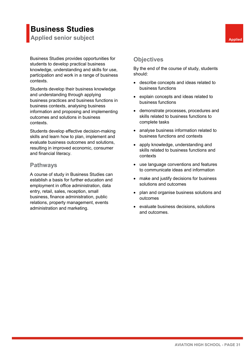# **Business Studies**

**Applied senior subject Applied Applied Applied** 

Business Studies provides opportunities for students to develop practical business knowledge, understanding and skills for use, participation and work in a range of business contexts.

Students develop their business knowledge and understanding through applying business practices and business functions in business contexts, analysing business information and proposing and implementing outcomes and solutions in business contexts.

Students develop effective decision-making skills and learn how to plan, implement and evaluate business outcomes and solutions, resulting in improved economic, consumer and financial literacy.

#### **Pathways**

A course of study in Business Studies can establish a basis for further education and employment in office administration, data entry, retail, sales, reception, small business, finance administration, public relations, property management, events administration and marketing.

#### **Objectives**

By the end of the course of study, students should:

- describe concepts and ideas related to business functions
- explain concepts and ideas related to business functions
- demonstrate processes, procedures and skills related to business functions to complete tasks
- analyse business information related to business functions and contexts
- apply knowledge, understanding and skills related to business functions and contexts
- use language conventions and features to communicate ideas and information
- make and justify decisions for business solutions and outcomes
- plan and organise business solutions and outcomes
- evaluate business decisions, solutions and outcomes.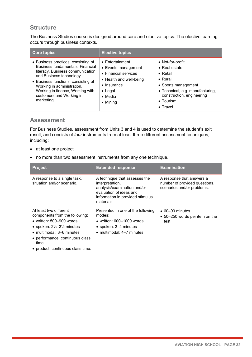#### **Structure**

The Business Studies course is designed around core and elective topics. The elective learning occurs through business contexts.

| <b>Core topics</b>                                                                                                                                                                                                                                                                        | <b>Elective topics</b>                                                                                                                                                             |                                                                                                                                                                                                                   |
|-------------------------------------------------------------------------------------------------------------------------------------------------------------------------------------------------------------------------------------------------------------------------------------------|------------------------------------------------------------------------------------------------------------------------------------------------------------------------------------|-------------------------------------------------------------------------------------------------------------------------------------------------------------------------------------------------------------------|
| • Business practices, consisting of<br>Business fundamentals, Financial<br>literacy, Business communication,<br>and Business technology<br>• Business functions, consisting of<br>Working in administration,<br>Working in finance, Working with<br>customers and Working in<br>marketing | $\bullet$ Entertainment<br>• Events management<br>• Financial services<br>• Health and well-being<br>$\bullet$ Insurance<br>$\bullet$ Legal<br>$\bullet$ Media<br>$\bullet$ Mining | • Not-for-profit<br>$\bullet$ Real estate<br>$\bullet$ Retail<br>$\bullet$ Rural<br>• Sports management<br>• Technical, e.g. manufacturing,<br>construction, engineering<br>$\bullet$ Tourism<br>$\bullet$ Travel |

#### **Assessment**

For Business Studies, assessment from Units 3 and 4 is used to determine the student's exit result, and consists of *four* instruments from at least three different assessment techniques, including:

- at least one project
- no more than two assessment instruments from any one technique.

| <b>Project</b>                                                                                                                                                                                                                                                     | <b>Extended response</b>                                                                                                                                     | <b>Examination</b>                                                                       |
|--------------------------------------------------------------------------------------------------------------------------------------------------------------------------------------------------------------------------------------------------------------------|--------------------------------------------------------------------------------------------------------------------------------------------------------------|------------------------------------------------------------------------------------------|
| A response to a single task,<br>situation and/or scenario.                                                                                                                                                                                                         | A technique that assesses the<br>interpretation,<br>analysis/examination and/or<br>evaluation of ideas and<br>information in provided stimulus<br>materials. | A response that answers a<br>number of provided questions,<br>scenarios and/or problems. |
| At least two different<br>components from the following:<br>• written: $500 - 900$ words<br>• spoken: $2\frac{1}{2}$ –3 $\frac{1}{2}$ minutes<br>$\bullet$ multimodal: 3–6 minutes<br>• performance: continuous class<br>time<br>• product: continuous class time. | Presented in one of the following<br>modes:<br>• written: $600-1000$ words<br>• spoken: 3–4 minutes<br>$\bullet$ multimodal: 4-7 minutes.                    | $\bullet$ 60–90 minutes<br>$\bullet$ 50–250 words per item on the<br>test                |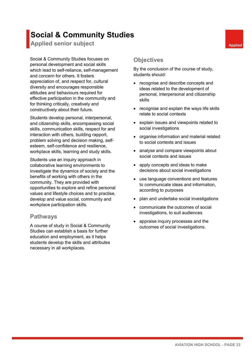# **Social & Community Studies**

**Applied senior subject Applied Applied Applied** 

Social & Community Studies focuses on personal development and social skills which lead to self-reliance, self-management and concern for others. It fosters appreciation of, and respect for, cultural diversity and encourages responsible attitudes and behaviours required for effective participation in the community and for thinking critically, creatively and constructively about their future.

Students develop personal, interpersonal, and citizenship skills, encompassing social skills, communication skills, respect for and interaction with others, building rapport, problem solving and decision making, selfesteem, self-confidence and resilience, workplace skills, learning and study skills.

Students use an inquiry approach in collaborative learning environments to investigate the dynamics of society and the benefits of working with others in the community. They are provided with opportunities to explore and refine personal values and lifestyle choices and to practise, develop and value social, community and workplace participation skills.

#### **Pathways**

A course of study in Social & Community Studies can establish a basis for further education and employment, as it helps students develop the skills and attributes necessary in all workplaces.

#### **Objectives**

By the conclusion of the course of study, students should:

- recognise and describe concepts and ideas related to the development of personal, interpersonal and citizenship skills
- recognise and explain the ways life skills relate to social contexts
- explain issues and viewpoints related to social investigations
- organise information and material related to social contexts and issues
- analyse and compare viewpoints about social contexts and issues
- apply concepts and ideas to make decisions about social investigations
- use language conventions and features to communicate ideas and information, according to purposes
- plan and undertake social investigations
- communicate the outcomes of social investigations, to suit audiences
- appraise inquiry processes and the outcomes of social investigations.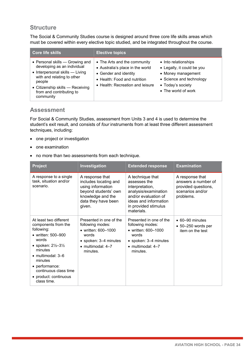The Social & Community Studies course is designed around three core life skills areas which must be covered within every elective topic studied, and be integrated throughout the course.

| <b>Core life skills</b>                                                                                                                                                                                                | <b>Elective topics</b>                                                                                                                                        |                                                                                                                                                  |
|------------------------------------------------------------------------------------------------------------------------------------------------------------------------------------------------------------------------|---------------------------------------------------------------------------------------------------------------------------------------------------------------|--------------------------------------------------------------------------------------------------------------------------------------------------|
| • Personal skills - Growing and<br>developing as an individual<br>• Interpersonal skills - Living<br>with and relating to other<br>people<br>• Citizenship skills - Receiving<br>from and contributing to<br>community | • The Arts and the community<br>• Australia's place in the world<br>• Gender and identity<br>• Health: Food and nutrition<br>• Health: Recreation and leisure | • Into relationships<br>• Legally, it could be you<br>• Money management<br>• Science and technology<br>• Today's society<br>• The world of work |

#### **Assessment**

For Social & Community Studies, assessment from Units 3 and 4 is used to determine the student's exit result, and consists of *four* instruments from at least three different assessment techniques, including:

- one project or investigation
- one examination
- no more than two assessments from each technique.

| <b>Project</b>                                                                                                                                                                                                                                                              | Investigation                                                                                                                                   | <b>Extended response</b>                                                                                                                                           | <b>Examination</b>                                                                             |
|-----------------------------------------------------------------------------------------------------------------------------------------------------------------------------------------------------------------------------------------------------------------------------|-------------------------------------------------------------------------------------------------------------------------------------------------|--------------------------------------------------------------------------------------------------------------------------------------------------------------------|------------------------------------------------------------------------------------------------|
| A response to a single<br>task, situation and/or<br>scenario.                                                                                                                                                                                                               | A response that<br>includes locating and<br>using information<br>beyond students' own<br>knowledge and the<br>data they have been<br>given.     | A technique that<br>assesses the<br>interpretation,<br>analysis/examination<br>and/or evaluation of<br>ideas and information<br>in provided stimulus<br>materials. | A response that<br>answers a number of<br>provided questions,<br>scenarios and/or<br>problems. |
| At least two different<br>components from the<br>following:<br>• written: 500-900<br>words<br>• spoken: $2\frac{1}{2} - 3\frac{1}{2}$<br>minutes<br>$\bullet$ multimodal: 3-6<br>minutes<br>• performance:<br>continuous class time<br>• product: continuous<br>class time. | Presented in one of the<br>following modes:<br>• written: 600-1000<br>words<br>• spoken: 3-4 minutes<br>$\bullet$ multimodal: $4-7$<br>minutes. | Presented in one of the<br>following modes:<br>• written: 600-1000<br>words<br>• spoken: 3–4 minutes<br>$\bullet$ multimodal: $4-7$<br>minutes.                    | $\bullet$ 60-90 minutes<br>$\bullet$ 50-250 words per<br>item on the test                      |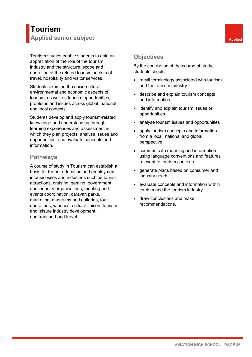## **Tourism Applied senior subject Applied Applied Applied**

Tourism studies enable students to gain an appreciation of the role of the tourism industry and the structure, scope and operation of the related tourism sectors of travel, hospitality and visitor services.

Students examine the socio-cultural, environmental and economic aspects of tourism, as well as tourism opportunities, problems and issues across global, national and local contexts.

Students develop and apply tourism-related knowledge and understanding through learning experiences and assessment in which they plan projects, analyse issues and opportunities, and evaluate concepts and information.

#### **Pathways**

A course of study in Tourism can establish a basis for further education and employment in businesses and industries such as tourist attractions, cruising, gaming, government and industry organisations, meeting and events coordination, caravan parks, marketing, museums and galleries, tour operations, wineries, cultural liaison, tourism and leisure industry development, and transport and travel.

## **Objectives**

- recall terminology associated with tourism and the tourism industry
- describe and explain tourism concepts and information
- identify and explain tourism issues or opportunities
- analyse tourism issues and opportunities
- apply tourism concepts and information from a local, national and global perspective
- communicate meaning and information using language conventions and features relevant to tourism contexts
- generate plans based on consumer and industry needs
- evaluate concepts and information within tourism and the tourism industry
- draw conclusions and make recommendations.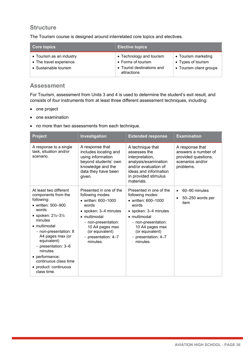The Tourism course is designed around interrelated core topics and electives.

| <b>Core topics</b>                                                           | <b>Elective topics</b>                                                                      |                                                                      |
|------------------------------------------------------------------------------|---------------------------------------------------------------------------------------------|----------------------------------------------------------------------|
| • Tourism as an industry<br>• The travel experience<br>• Sustainable tourism | • Technology and tourism<br>• Forms of tourism<br>• Tourist destinations and<br>attractions | • Tourism marketing<br>• Types of tourism<br>• Tourism client groups |

#### **Assessment**

For Tourism, assessment from Units 3 and 4 is used to determine the student's exit result, and consists of *four* instruments from at least three different assessment techniques, including:

- one project
- one examination
- no more than two assessments from each technique.

| <b>Project</b>                                                                                                                                                                                                                                                                                                                                    | Investigation                                                                                                                                                                                                        | <b>Extended response</b>                                                                                                                                                                                             | <b>Examination</b>                                                                             |
|---------------------------------------------------------------------------------------------------------------------------------------------------------------------------------------------------------------------------------------------------------------------------------------------------------------------------------------------------|----------------------------------------------------------------------------------------------------------------------------------------------------------------------------------------------------------------------|----------------------------------------------------------------------------------------------------------------------------------------------------------------------------------------------------------------------|------------------------------------------------------------------------------------------------|
| A response to a single<br>task, situation and/or<br>scenario.                                                                                                                                                                                                                                                                                     | A response that<br>includes locating and<br>using information<br>beyond students' own<br>knowledge and the<br>data they have been<br>given.                                                                          | A technique that<br>assesses the<br>interpretation,<br>analysis/examination<br>and/or evaluation of<br>ideas and information<br>in provided stimulus<br>materials.                                                   | A response that<br>answers a number of<br>provided questions,<br>scenarios and/or<br>problems. |
| At least two different<br>components from the<br>following:<br>• written: 500-900<br>words<br>• spoken: $2\frac{1}{2} - 3\frac{1}{2}$<br>minutes<br>• multimodal<br>- non-presentation: 8<br>A4 pages max (or<br>equivalent)<br>- presentation: 3-6<br>minutes<br>• performance:<br>continuous class time<br>• product: continuous<br>class time. | Presented in one of the<br>following modes:<br>• written: 600-1000<br>words<br>· spoken: 3-4 minutes<br>• multimodal<br>- non-presentation:<br>10 A4 pages max<br>(or equivalent)<br>- presentation: 4-7<br>minutes. | Presented in one of the<br>following modes:<br>• written: 600-1000<br>words<br>• spoken: 3–4 minutes<br>• multimodal<br>- non-presentation:<br>10 A4 pages max<br>(or equivalent)<br>- presentation: 4-7<br>minutes. | 60-90 minutes<br>$\bullet$<br>50-250 words per<br>$\bullet$<br>item                            |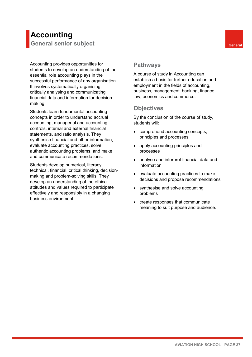# **Accounting**

**General senior subject General** 

Accounting provides opportunities for students to develop an understanding of the essential role accounting plays in the successful performance of any organisation. It involves systematically organising, critically analysing and communicating financial data and information for decisionmaking.

Students learn fundamental accounting concepts in order to understand accrual accounting, managerial and accounting controls, internal and external financial statements, and ratio analysis. They synthesise financial and other information, evaluate accounting practices, solve authentic accounting problems, and make and communicate recommendations.

Students develop numerical, literacy, technical, financial, critical thinking, decisionmaking and problem-solving skills. They develop an understanding of the ethical attitudes and values required to participate effectively and responsibly in a changing business environment.

#### **Pathways**

A course of study in Accounting can establish a basis for further education and employment in the fields of accounting, business, management, banking, finance, law, economics and commerce.

## **Objectives**

- comprehend accounting concepts, principles and processes
- apply accounting principles and processes
- analyse and interpret financial data and information
- evaluate accounting practices to make decisions and propose recommendations
- synthesise and solve accounting problems
- create responses that communicate meaning to suit purpose and audience.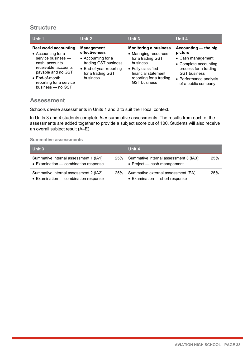| Unit 1                                                                                                                                                                                                     | Unit 2                                                                                                                                       | Unit 3                                                                                                                                                                               | Unit 4                                                                                                                                                                         |
|------------------------------------------------------------------------------------------------------------------------------------------------------------------------------------------------------------|----------------------------------------------------------------------------------------------------------------------------------------------|--------------------------------------------------------------------------------------------------------------------------------------------------------------------------------------|--------------------------------------------------------------------------------------------------------------------------------------------------------------------------------|
| <b>Real world accounting</b><br>• Accounting for a<br>service business -<br>cash, accounts<br>receivable, accounts<br>payable and no GST<br>• End-of-month<br>reporting for a service<br>business - no GST | <b>Management</b><br>effectiveness<br>• Accounting for a<br>trading GST business<br>• End-of-year reporting<br>for a trading GST<br>business | <b>Monitoring a business</b><br>• Managing resources<br>for a trading GST<br>business<br>• Fully classified<br>financial statement<br>reporting for a trading<br><b>GST business</b> | Accounting - the big<br>picture<br>• Cash management<br>• Complete accounting<br>process for a trading<br><b>GST business</b><br>• Performance analysis<br>of a public company |

#### **Assessment**

Schools devise assessments in Units 1 and 2 to suit their local context.

In Units 3 and 4 students complete *four* summative assessments. The results from each of the assessments are added together to provide a subject score out of 100. Students will also receive an overall subject result (A–E).

| Unit 3                                                                         |     | Unit 4                                                                |     |
|--------------------------------------------------------------------------------|-----|-----------------------------------------------------------------------|-----|
| Summative internal assessment 1 (IA1):<br>• Examination - combination response | 25% | Summative internal assessment 3 (IA3):<br>• Project - cash management | 25% |
| Summative internal assessment 2 (IA2):<br>• Examination - combination response | 25% | Summative external assessment (EA):<br>• Examination - short response | 25% |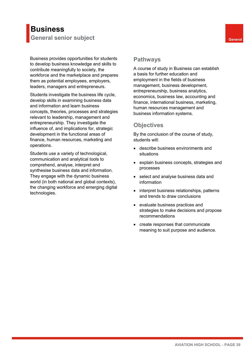## **Business General senior subject General**

Business provides opportunities for students to develop business knowledge and skills to contribute meaningfully to society, the workforce and the marketplace and prepares them as potential employees, employers, leaders, managers and entrepreneurs.

Students investigate the business life cycle, develop skills in examining business data and information and learn business concepts, theories, processes and strategies relevant to leadership, management and entrepreneurship. They investigate the influence of, and implications for, strategic development in the functional areas of finance, human resources, marketing and operations.

Students use a variety of technological, communication and analytical tools to comprehend, analyse, interpret and synthesise business data and information. They engage with the dynamic business world (in both national and global contexts), the changing workforce and emerging digital technologies.

#### **Pathways**

A course of study in Business can establish a basis for further education and employment in the fields of business management, business development, entrepreneurship, business analytics, economics, business law, accounting and finance, international business, marketing, human resources management and business information systems.

#### **Objectives**

- describe business environments and situations
- explain business concepts, strategies and processes
- select and analyse business data and information
- interpret business relationships, patterns and trends to draw conclusions
- evaluate business practices and strategies to make decisions and propose recommendations
- create responses that communicate meaning to suit purpose and audience.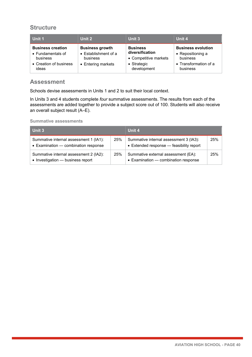| Unit 1                                                                                       | Unit 2                                                                           | Unit 3                                                                                    | Unit 4                                                                                          |
|----------------------------------------------------------------------------------------------|----------------------------------------------------------------------------------|-------------------------------------------------------------------------------------------|-------------------------------------------------------------------------------------------------|
| <b>Business creation</b><br>• Fundamentals of<br>business<br>• Creation of business<br>ideas | <b>Business growth</b><br>• Establishment of a<br>business<br>• Entering markets | <b>Business</b><br>diversification<br>• Competitive markets<br>• Strategic<br>development | <b>Business evolution</b><br>• Repositioning a<br>business<br>• Transformation of a<br>business |

#### **Assessment**

Schools devise assessments in Units 1 and 2 to suit their local context.

In Units 3 and 4 students complete *four* summative assessments. The results from each of the assessments are added together to provide a subject score out of 100. Students will also receive an overall subject result (A–E).

| Unit 3                                                                         |     | Unit 4                                                                             |     |
|--------------------------------------------------------------------------------|-----|------------------------------------------------------------------------------------|-----|
| Summative internal assessment 1 (IA1):<br>• Examination - combination response | 25% | Summative internal assessment 3 (IA3):<br>• Extended response - feasibility report | 25% |
| Summative internal assessment 2 (IA2):<br>• Investigation - business report    | 25% | Summative external assessment (EA):<br>• Examination - combination response        | 25% |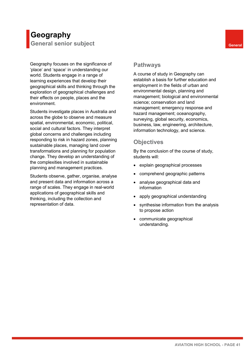# **Geography**

**General senior subject General** 

Geography focuses on the significance of 'place' and 'space' in understanding our world. Students engage in a range of learning experiences that develop their geographical skills and thinking through the exploration of geographical challenges and their effects on people, places and the environment.

Students investigate places in Australia and across the globe to observe and measure spatial, environmental, economic, political, social and cultural factors. They interpret global concerns and challenges including responding to risk in hazard zones, planning sustainable places, managing land cover transformations and planning for population change. They develop an understanding of the complexities involved in sustainable planning and management practices.

Students observe, gather, organise, analyse and present data and information across a range of scales. They engage in real-world applications of geographical skills and thinking, including the collection and representation of data.

#### **Pathways**

A course of study in Geography can establish a basis for further education and employment in the fields of urban and environmental design, planning and management; biological and environmental science; conservation and land management; emergency response and hazard management; oceanography, surveying, global security, economics, business, law, engineering, architecture, information technology, and science.

#### **Objectives**

- explain geographical processes
- comprehend geographic patterns
- analyse geographical data and information
- apply geographical understanding
- synthesise information from the analysis to propose action
- communicate geographical understanding.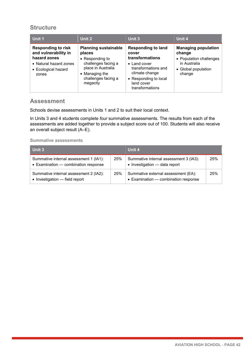| Unit 1                                                                                                                      | Unit 2                                                                                                                                                             | Unit 3                                                                                                                                                                           | Unit 4                                                                                                           |
|-----------------------------------------------------------------------------------------------------------------------------|--------------------------------------------------------------------------------------------------------------------------------------------------------------------|----------------------------------------------------------------------------------------------------------------------------------------------------------------------------------|------------------------------------------------------------------------------------------------------------------|
| <b>Responding to risk</b><br>and vulnerability in<br>hazard zones<br>• Natural hazard zones<br>• Ecological hazard<br>zones | <b>Planning sustainable</b><br>places<br>$\bullet$ Responding to<br>challenges facing a<br>place in Australia<br>• Managing the<br>challenges facing a<br>megacity | <b>Responding to land</b><br>cover<br>transformations<br>$\bullet$ Land cover<br>transformations and<br>climate change<br>• Responding to local<br>land cover<br>transformations | <b>Managing population</b><br>change<br>• Population challenges<br>in Australia<br>• Global population<br>change |

#### **Assessment**

Schools devise assessments in Units 1 and 2 to suit their local context.

In Units 3 and 4 students complete *four* summative assessments. The results from each of the assessments are added together to provide a subject score out of 100. Students will also receive an overall subject result (A–E).

| Unit 3                                                                         |     | Unit 4                                                                      |     |
|--------------------------------------------------------------------------------|-----|-----------------------------------------------------------------------------|-----|
| Summative internal assessment 1 (IA1):<br>• Examination - combination response | 25% | Summative internal assessment 3 (IA3):<br>• Investigation - data report     | 25% |
| Summative internal assessment 2 (IA2):<br>• Investigation - field report       | 25% | Summative external assessment (EA):<br>• Examination – combination response | 25% |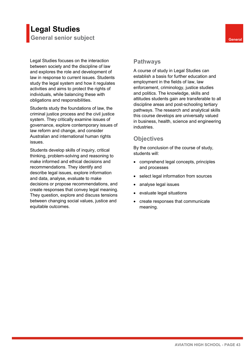## **Legal Studies General senior subject General**

Legal Studies focuses on the interaction between society and the discipline of law and explores the role and development of law in response to current issues. Students study the legal system and how it regulates activities and aims to protect the rights of individuals, while balancing these with obligations and responsibilities.

Students study the foundations of law, the criminal justice process and the civil justice system. They critically examine issues of governance, explore contemporary issues of law reform and change, and consider Australian and international human rights issues.

Students develop skills of inquiry, critical thinking, problem-solving and reasoning to make informed and ethical decisions and recommendations. They identify and describe legal issues, explore information and data, analyse, evaluate to make decisions or propose recommendations, and create responses that convey legal meaning. They question, explore and discuss tensions between changing social values, justice and equitable outcomes.

#### **Pathways**

A course of study in Legal Studies can establish a basis for further education and employment in the fields of law, law enforcement, criminology, justice studies and politics. The knowledge, skills and attitudes students gain are transferable to all discipline areas and post-schooling tertiary pathways. The research and analytical skills this course develops are universally valued in business, health, science and engineering industries.

### **Objectives**

- comprehend legal concepts, principles and processes
- select legal information from sources
- analyse legal issues
- evaluate legal situations
- create responses that communicate meaning.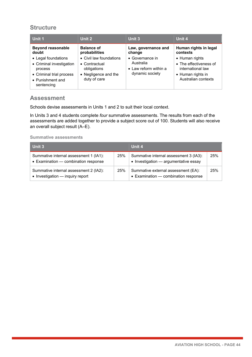| Unit 1                                                                                                                   | Unit 2                                                                                          | Unit 3                                                                   | Unit 4                                                                                                    |
|--------------------------------------------------------------------------------------------------------------------------|-------------------------------------------------------------------------------------------------|--------------------------------------------------------------------------|-----------------------------------------------------------------------------------------------------------|
| <b>Beyond reasonable</b><br>doubt                                                                                        | <b>Balance of</b><br>probabilities                                                              | Law, governance and<br>change                                            | Human rights in legal<br>contexts                                                                         |
| • Legal foundations<br>• Criminal investigation<br>process<br>• Criminal trial process<br>• Punishment and<br>sentencing | • Civil law foundations<br>• Contractual<br>obligations<br>• Negligence and the<br>duty of care | • Governance in<br>Australia<br>• Law reform within a<br>dynamic society | • Human rights<br>• The effectiveness of<br>international law<br>• Human rights in<br>Australian contexts |

#### **Assessment**

Schools devise assessments in Units 1 and 2 to suit their local context.

In Units 3 and 4 students complete *four* summative assessments. The results from each of the assessments are added together to provide a subject score out of 100. Students will also receive an overall subject result (A–E).

| Unit 3                                                                         |     | Unit 4                                                                          |     |
|--------------------------------------------------------------------------------|-----|---------------------------------------------------------------------------------|-----|
| Summative internal assessment 1 (IA1):<br>• Examination - combination response | 25% | Summative internal assessment 3 (IA3):<br>• Investigation - argumentative essay | 25% |
| Summative internal assessment 2 (IA2):<br>• Investigation - inquiry report     | 25% | Summative external assessment (EA):<br>• Examination - combination response     | 25% |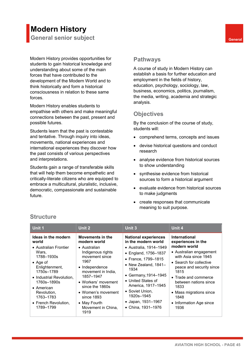# **Modern History**

**General senior subject General** 

Modern History provides opportunities for students to gain historical knowledge and understanding about some of the main forces that have contributed to the development of the Modern World and to think historically and form a historical consciousness in relation to these same forces.

Modern History enables students to empathise with others and make meaningful connections between the past, present and possible futures.

Students learn that the past is contestable and tentative. Through inquiry into ideas, movements, national experiences and international experiences they discover how the past consists of various perspectives and interpretations.

Students gain a range of transferable skills that will help them become empathetic and critically-literate citizens who are equipped to embrace a multicultural, pluralistic, inclusive, democratic, compassionate and sustainable future.

#### **Pathways**

A course of study in Modern History can establish a basis for further education and employment in the fields of history, education, psychology, sociology, law, business, economics, politics, journalism, the media, writing, academia and strategic analysis.

## **Objectives**

By the conclusion of the course of study, students will:

- comprehend terms, concepts and issues
- devise historical questions and conduct research
- analyse evidence from historical sources to show understanding
- synthesise evidence from historical sources to form a historical argument
- evaluate evidence from historical sources to make judgments
- create responses that communicate meaning to suit purpose.

| Unit 1                                                                                                                           | Unit 2                                                                                                                                               | Unit 3                                                                                                                                                                                | Unit 4                                                                                                                                                                       |
|----------------------------------------------------------------------------------------------------------------------------------|------------------------------------------------------------------------------------------------------------------------------------------------------|---------------------------------------------------------------------------------------------------------------------------------------------------------------------------------------|------------------------------------------------------------------------------------------------------------------------------------------------------------------------------|
| Ideas in the modern<br>world<br>• Australian Frontier<br>Wars,<br>1788-1930s<br>$\bullet$ Age of<br>Enlightenment,<br>1750s-1789 | Movements in the<br>modern world<br>• Australian<br>Indigenous rights<br>movement since<br>1967<br>• Independence<br>movement in India,<br>1857-1947 | <b>National experiences</b><br>in the modern world<br>• Australia, 1914-1949<br>• England, 1756-1837<br>• France, 1799-1815<br>• New Zealand, $1841-$<br>1934<br>• Germany, 1914–1945 | <b>International</b><br>experiences in the<br>modern world<br>• Australian engagement<br>with Asia since 1945<br>• Search for collective<br>peace and security since<br>1815 |
| • Industrial Revolution.<br>1760s-1890s<br>$\bullet$ American<br>Revolution,<br>1763-1783<br>• French Revolution,<br>1789-1799   | • Workers' movement<br>since the 1860s<br>• Women's movement<br>since 1893<br>• May Fourth<br>Movement in China,<br>1919                             | • United States of<br>America, 1917-1945<br>• Soviet Union,<br>1920s-1945<br>• Japan, 1931–1967<br>• China, 1931-1976                                                                 | • Trade and commerce<br>between nations since<br>1833<br>• Mass migrations since<br>1848<br>• Information Age since<br>1936                                                  |

#### **Structure**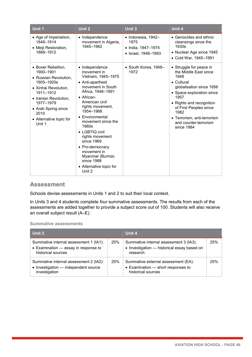| <b>Unit 1</b>                                                                                                                                                                                                         | Unit $2$                                                                                                                                                                                                                                                                                                                                                                                                | <b>Unit 3</b>                                                           | Unit 4                                                                                                                                                                                                                                                                              |
|-----------------------------------------------------------------------------------------------------------------------------------------------------------------------------------------------------------------------|---------------------------------------------------------------------------------------------------------------------------------------------------------------------------------------------------------------------------------------------------------------------------------------------------------------------------------------------------------------------------------------------------------|-------------------------------------------------------------------------|-------------------------------------------------------------------------------------------------------------------------------------------------------------------------------------------------------------------------------------------------------------------------------------|
| • Age of Imperialism,<br>1848-1914<br>• Meiji Restoration,<br>1868-1912                                                                                                                                               | • Independence<br>movement in Algeria,<br>1945-1962                                                                                                                                                                                                                                                                                                                                                     | · Indonesia, 1942-<br>1975<br>• India, 1947-1974<br>• Israel, 1948-1993 | • Genocides and ethnic<br>cleansings since the<br>1930s<br>• Nuclear Age since 1945<br>• Cold War, 1945–1991                                                                                                                                                                        |
| • Boxer Rebellion,<br>1900-1901<br>• Russian Revolution,<br>1905-1920s<br>• Xinhai Revolution,<br>1911-1912<br>• Iranian Revolution,<br>1977-1979<br>• Arab Spring since<br>2010<br>• Alternative topic for<br>Unit 1 | • Independence<br>movement in<br>Vietnam, 1945-1975<br>• Anti-apartheid<br>movement in South<br>Africa, 1948-1991<br>$\bullet$ African-<br>American civil<br>rights movement,<br>1954-1968<br>• Environmental<br>movement since the<br>1960s<br>• LGBTIQ civil<br>rights movement<br>since 1969<br>• Pro-democracy<br>movement in<br>Myanmar (Burma)<br>since 1988<br>• Alternative topic for<br>Unit 2 | $\bullet$ South Korea, 1948-<br>1972                                    | • Struggle for peace in<br>the Middle East since<br>1948<br>$\bullet$ Cultural<br>globalisation since 1956<br>• Space exploration since<br>1957<br>• Rights and recognition<br>of First Peoples since<br>1982<br>• Terrorism, anti-terrorism<br>and counter-terrorism<br>since 1984 |

#### **Assessment**

Schools devise assessments in Units 1 and 2 to suit their local context.

In Units 3 and 4 students complete *four* summative assessments. The results from each of the assessments are added together to provide a subject score out of 100. Students will also receive an overall subject result (A–E).

| <b>Unit 3</b>                                                                                        |     | Unit 4<br>25%                                                                                     |     |
|------------------------------------------------------------------------------------------------------|-----|---------------------------------------------------------------------------------------------------|-----|
| Summative internal assessment 1 (IA1):<br>• Examination - essay in response to<br>historical sources | 25% | Summative internal assessment 3 (IA3):<br>• Investigation - historical essay based on<br>research |     |
| Summative internal assessment 2 (IA2):<br>• Investigation - independent source<br>investigation      | 25% | Summative external assessment (EA):<br>• Examination - short responses to<br>historical sources   | 25% |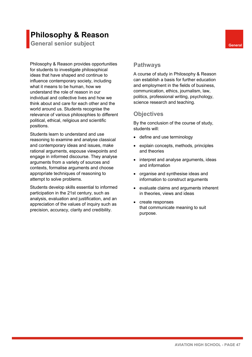## **Philosophy & Reason**

**General senior subject General** 

Philosophy & Reason provides opportunities for students to investigate philosophical ideas that have shaped and continue to influence contemporary society, including what it means to be human, how we understand the role of reason in our individual and collective lives and how we think about and care for each other and the world around us. Students recognise the relevance of various philosophies to different political, ethical, religious and scientific positions.

Students learn to understand and use reasoning to examine and analyse classical and contemporary ideas and issues, make rational arguments, espouse viewpoints and engage in informed discourse. They analyse arguments from a variety of sources and contexts, formalise arguments and choose appropriate techniques of reasoning to attempt to solve problems.

Students develop skills essential to informed participation in the 21st century, such as analysis, evaluation and justification, and an appreciation of the values of inquiry such as precision, accuracy, clarity and credibility.

#### **Pathways**

A course of study in Philosophy & Reason can establish a basis for further education and employment in the fields of business, communication, ethics, journalism, law, politics, professional writing, psychology, science research and teaching.

## **Objectives**

- define and use terminology
- explain concepts, methods, principles and theories
- interpret and analyse arguments, ideas and information
- organise and synthesise ideas and information to construct arguments
- evaluate claims and arguments inherent in theories, views and ideas
- create responses that communicate meaning to suit purpose.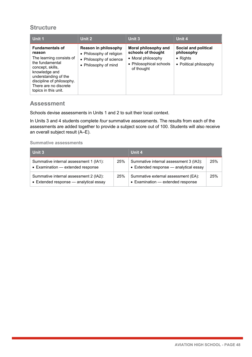| Unit 1                                                                                                                                                                                                                     | Unit 2                                                                                              | Unit 3                                                                                                    | Unit 4                                                                           |
|----------------------------------------------------------------------------------------------------------------------------------------------------------------------------------------------------------------------------|-----------------------------------------------------------------------------------------------------|-----------------------------------------------------------------------------------------------------------|----------------------------------------------------------------------------------|
| <b>Fundamentals of</b><br>reason<br>The learning consists of<br>the fundamental<br>concept, skills,<br>knowledge and<br>understanding of the<br>discipline of philosophy.<br>There are no discrete<br>topics in this unit. | Reason in philosophy<br>• Philosophy of religion<br>• Philosophy of science<br>• Philosophy of mind | Moral philosophy and<br>schools of thought<br>• Moral philosophy<br>• Philosophical schools<br>of thought | Social and political<br>philosophy<br>$\bullet$ Rights<br>• Political philosophy |

#### **Assessment**

Schools devise assessments in Units 1 and 2 to suit their local context.

In Units 3 and 4 students complete *four* summative assessments. The results from each of the assessments are added together to provide a subject score out of 100. Students will also receive an overall subject result (A–E).

| Unit 3                                                                                     |     | Unit 4                                                                           |     |
|--------------------------------------------------------------------------------------------|-----|----------------------------------------------------------------------------------|-----|
| Summative internal assessment 1 (IA1):<br>• Examination - extended response                | 25% | Summative internal assessment 3 (IA3):<br>• Extended response - analytical essay | 25% |
| Summative internal assessment 2 (IA2):<br>$\bullet$ Extended response $-$ analytical essay | 25% | Summative external assessment (EA):<br>• Examination - extended response         | 25% |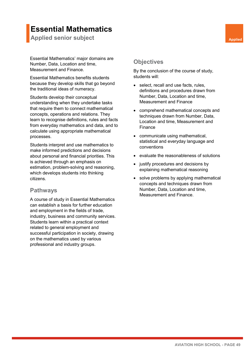## **Essential Mathematics**

**Applied senior subject Applied Applied Applied Applied** 

Essential Mathematics' major domains are Number, Data, Location and time, Measurement and Finance.

Essential Mathematics benefits students because they develop skills that go beyond the traditional ideas of numeracy.

Students develop their conceptual understanding when they undertake tasks that require them to connect mathematical concepts, operations and relations. They learn to recognise definitions, rules and facts from everyday mathematics and data, and to calculate using appropriate mathematical processes.

Students interpret and use mathematics to make informed predictions and decisions about personal and financial priorities. This is achieved through an emphasis on estimation, problem-solving and reasoning, which develops students into thinking citizens.

#### **Pathways**

A course of study in Essential Mathematics can establish a basis for further education and employment in the fields of trade, industry, business and community services. Students learn within a practical context related to general employment and successful participation in society, drawing on the mathematics used by various professional and industry groups.

#### **Objectives**

- select, recall and use facts, rules, definitions and procedures drawn from Number, Data, Location and time, Measurement and Finance
- comprehend mathematical concepts and techniques drawn from Number, Data, Location and time, Measurement and Finance
- communicate using mathematical, statistical and everyday language and conventions
- evaluate the reasonableness of solutions
- justify procedures and decisions by explaining mathematical reasoning
- solve problems by applying mathematical concepts and techniques drawn from Number, Data, Location and time, Measurement and Finance.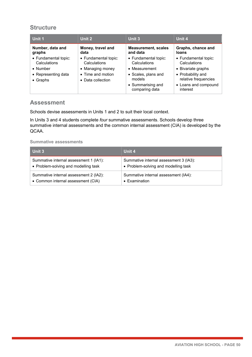| Unit 1               | Unit 2               | Unit 3                              | Unit 4                           |
|----------------------|----------------------|-------------------------------------|----------------------------------|
| Number, data and     | Money, travel and    | <b>Measurement, scales</b>          | Graphs, chance and               |
| graphs               | data                 | and data                            | <b>loans</b>                     |
| • Fundamental topic: | • Fundamental topic: | • Fundamental topic:                | • Fundamental topic:             |
| Calculations         | Calculations         | Calculations                        | Calculations                     |
| $\bullet$ Number     | • Managing money     | • Measurement                       | • Bivariate graphs               |
| • Representing data  | • Time and motion    | • Scales, plans and                 | • Probability and                |
| $\bullet$ Graphs     | • Data collection    | models                              | relative frequencies             |
|                      |                      | • Summarising and<br>comparing data | • Loans and compound<br>interest |

#### **Assessment**

Schools devise assessments in Units 1 and 2 to suit their local context.

In Units 3 and 4 students complete *four* summative assessments. Schools develop three summative internal assessments and the common internal assessment (CIA) is developed by the QCAA.

| Unit 3                                 | Unit 4                                 |
|----------------------------------------|----------------------------------------|
| Summative internal assessment 1 (IA1): | Summative internal assessment 3 (IA3): |
| • Problem-solving and modelling task   | • Problem-solving and modelling task   |
| Summative internal assessment 2 (IA2): | Summative internal assessment (IA4):   |
| • Common internal assessment (CIA)     | • Examination                          |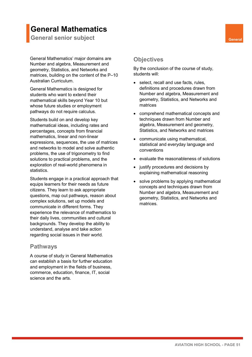## **General Mathematics**

**General senior subject General** 

General Mathematics' major domains are Number and algebra, Measurement and geometry, Statistics, and Networks and matrices, building on the content of the P–10 Australian Curriculum.

General Mathematics is designed for students who want to extend their mathematical skills beyond Year 10 but whose future studies or employment pathways do not require calculus.

Students build on and develop key mathematical ideas, including rates and percentages, concepts from financial mathematics, linear and non-linear expressions, sequences, the use of matrices and networks to model and solve authentic problems, the use of trigonometry to find solutions to practical problems, and the exploration of real-world phenomena in statistics.

Students engage in a practical approach that equips learners for their needs as future citizens. They learn to ask appropriate questions, map out pathways, reason about complex solutions, set up models and communicate in different forms. They experience the relevance of mathematics to their daily lives, communities and cultural backgrounds. They develop the ability to understand, analyse and take action regarding social issues in their world.

#### **Pathways**

A course of study in General Mathematics can establish a basis for further education and employment in the fields of business, commerce, education, finance, IT, social science and the arts.

#### **Objectives**

- select, recall and use facts, rules, definitions and procedures drawn from Number and algebra, Measurement and geometry, Statistics, and Networks and matrices
- comprehend mathematical concepts and techniques drawn from Number and algebra, Measurement and geometry, Statistics, and Networks and matrices
- communicate using mathematical, statistical and everyday language and conventions
- evaluate the reasonableness of solutions
- justify procedures and decisions by explaining mathematical reasoning
- solve problems by applying mathematical concepts and techniques drawn from Number and algebra, Measurement and geometry, Statistics, and Networks and matrices.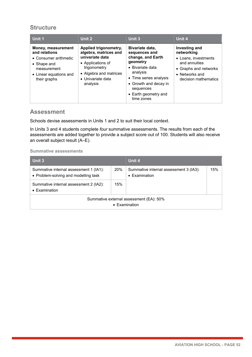| Unit 1                                                                                                                               | Unit 2                                                                                                                                                            | <b>Unit 3</b>                                                                                                                                                                                           | Unit 4                                                                                                                                  |
|--------------------------------------------------------------------------------------------------------------------------------------|-------------------------------------------------------------------------------------------------------------------------------------------------------------------|---------------------------------------------------------------------------------------------------------------------------------------------------------------------------------------------------------|-----------------------------------------------------------------------------------------------------------------------------------------|
| Money, measurement<br>and relations<br>• Consumer arithmetic<br>• Shape and<br>measurement<br>• Linear equations and<br>their graphs | Applied trigonometry,<br>algebra, matrices and<br>univariate data<br>• Applications of<br>trigonometry<br>• Algebra and matrices<br>• Univariate data<br>analysis | Bivariate data,<br>sequences and<br>change, and Earth<br>geometry<br>• Bivariate data<br>analysis<br>• Time series analysis<br>• Growth and decay in<br>sequences<br>• Earth geometry and<br>time zones | Investing and<br>networking<br>• Loans, investments<br>and annuities<br>• Graphs and networks<br>• Networks and<br>decision mathematics |

#### **Assessment**

Schools devise assessments in Units 1 and 2 to suit their local context.

In Units 3 and 4 students complete *four* summative assessments. The results from each of the assessments are added together to provide a subject score out of 100. Students will also receive an overall subject result (A–E).

| Unit 3                                                                         |     | Unit 4                                                          |     |  |
|--------------------------------------------------------------------------------|-----|-----------------------------------------------------------------|-----|--|
| Summative internal assessment 1 (IA1):<br>• Problem-solving and modelling task | 20% | Summative internal assessment 3 (IA3):<br>$\bullet$ Examination | 15% |  |
| Summative internal assessment 2 (IA2):<br>• Examination                        | 15% |                                                                 |     |  |
| Summative external assessment (EA): 50%<br>• Examination                       |     |                                                                 |     |  |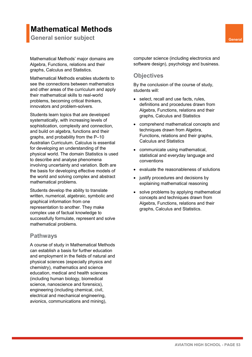## **Mathematical Methods**

**General senior subject General** 

Mathematical Methods' major domains are Algebra, Functions, relations and their graphs, Calculus and Statistics.

Mathematical Methods enables students to see the connections between mathematics and other areas of the curriculum and apply their mathematical skills to real-world problems, becoming critical thinkers, innovators and problem-solvers.

Students learn topics that are developed systematically, with increasing levels of sophistication, complexity and connection, and build on algebra, functions and their graphs, and probability from the P–10 Australian Curriculum. Calculus is essential for developing an understanding of the physical world. The domain Statistics is used to describe and analyse phenomena involving uncertainty and variation. Both are the basis for developing effective models of the world and solving complex and abstract mathematical problems.

Students develop the ability to translate written, numerical, algebraic, symbolic and graphical information from one representation to another. They make complex use of factual knowledge to successfully formulate, represent and solve mathematical problems.

#### **Pathways**

A course of study in Mathematical Methods can establish a basis for further education and employment in the fields of natural and physical sciences (especially physics and chemistry), mathematics and science education, medical and health sciences (including human biology, biomedical science, nanoscience and forensics), engineering (including chemical, civil, electrical and mechanical engineering, avionics, communications and mining),

computer science (including electronics and software design), psychology and business.

#### **Objectives**

- select, recall and use facts, rules, definitions and procedures drawn from Algebra, Functions, relations and their graphs, Calculus and Statistics
- comprehend mathematical concepts and techniques drawn from Algebra, Functions, relations and their graphs, Calculus and Statistics
- communicate using mathematical, statistical and everyday language and conventions
- evaluate the reasonableness of solutions
- justify procedures and decisions by explaining mathematical reasoning
- solve problems by applying mathematical concepts and techniques drawn from Algebra, Functions, relations and their graphs, Calculus and Statistics.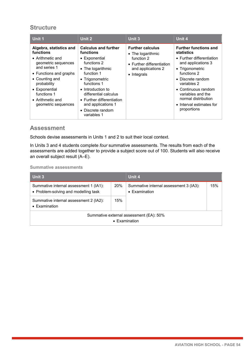| Unit 1                                                                                                                                                                                                                                                | Unit 2                                                                                                                                                                                                                                                                             | Unit 3                                                                                                                               | Unit 4                                                                                                                                                                                                                                                                            |
|-------------------------------------------------------------------------------------------------------------------------------------------------------------------------------------------------------------------------------------------------------|------------------------------------------------------------------------------------------------------------------------------------------------------------------------------------------------------------------------------------------------------------------------------------|--------------------------------------------------------------------------------------------------------------------------------------|-----------------------------------------------------------------------------------------------------------------------------------------------------------------------------------------------------------------------------------------------------------------------------------|
| Algebra, statistics and<br>functions<br>$\bullet$ Arithmetic and<br>geometric sequences<br>and series 1<br>• Functions and graphs<br>• Counting and<br>probability<br>• Exponential<br>functions 1<br>$\bullet$ Arithmetic and<br>geometric sequences | <b>Calculus and further</b><br>functions<br>• Exponential<br>functions 2<br>• The logarithmic<br>function 1<br>• Trigonometric<br>functions 1<br>• Introduction to<br>differential calculus<br>• Further differentiation<br>and applications 1<br>• Discrete random<br>variables 1 | <b>Further calculus</b><br>• The logarithmic<br>function 2<br>• Further differentiation<br>and applications 2<br>$\bullet$ Integrals | <b>Further functions and</b><br>statistics<br>• Further differentiation<br>and applications 3<br>• Trigonometric<br>functions 2<br>• Discrete random<br>variables 2<br>• Continuous random<br>variables and the<br>normal distribution<br>• Interval estimates for<br>proportions |

#### **Assessment**

Schools devise assessments in Units 1 and 2 to suit their local context.

In Units 3 and 4 students complete *four* summative assessments. The results from each of the assessments are added together to provide a subject score out of 100. Students will also receive an overall subject result (A–E).

| Unit 3                                                                         |     | Unit 4                                                  |     |  |
|--------------------------------------------------------------------------------|-----|---------------------------------------------------------|-----|--|
| Summative internal assessment 1 (IA1):<br>• Problem-solving and modelling task | 20% | Summative internal assessment 3 (IA3):<br>• Examination | 15% |  |
| Summative internal assessment 2 (IA2):<br>• Examination                        | 15% |                                                         |     |  |
| Summative external assessment (EA): 50%<br>• Examination                       |     |                                                         |     |  |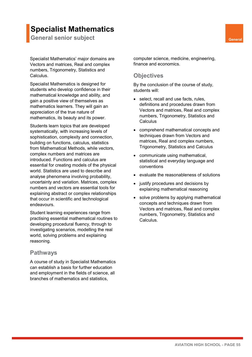## **Specialist Mathematics**

**General senior subject General** 

Specialist Mathematics' major domains are Vectors and matrices, Real and complex numbers, Trigonometry, Statistics and Calculus.

Specialist Mathematics is designed for students who develop confidence in their mathematical knowledge and ability, and gain a positive view of themselves as mathematics learners. They will gain an appreciation of the true nature of mathematics, its beauty and its power.

Students learn topics that are developed systematically, with increasing levels of sophistication, complexity and connection, building on functions, calculus, statistics from Mathematical Methods, while vectors, complex numbers and matrices are introduced. Functions and calculus are essential for creating models of the physical world. Statistics are used to describe and analyse phenomena involving probability, uncertainty and variation. Matrices, complex numbers and vectors are essential tools for explaining abstract or complex relationships that occur in scientific and technological endeavours.

Student learning experiences range from practising essential mathematical routines to developing procedural fluency, through to investigating scenarios, modelling the real world, solving problems and explaining reasoning.

#### **Pathways**

A course of study in Specialist Mathematics can establish a basis for further education and employment in the fields of science, all branches of mathematics and statistics,

computer science, medicine, engineering, finance and economics.

#### **Objectives**

- select, recall and use facts, rules, definitions and procedures drawn from Vectors and matrices, Real and complex numbers, Trigonometry, Statistics and **Calculus**
- comprehend mathematical concepts and techniques drawn from Vectors and matrices, Real and complex numbers, Trigonometry, Statistics and Calculus
- communicate using mathematical, statistical and everyday language and conventions
- evaluate the reasonableness of solutions
- justify procedures and decisions by explaining mathematical reasoning
- solve problems by applying mathematical concepts and techniques drawn from Vectors and matrices, Real and complex numbers, Trigonometry, Statistics and Calculus.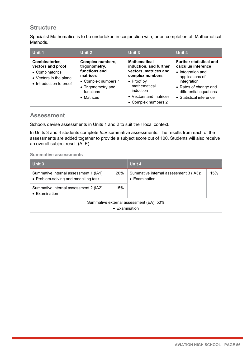Specialist Mathematics is to be undertaken in conjunction with, or on completion of, Mathematical Methods.

| Unit 1                                                                                                      | Unit 2                                                                                                                                 | Unit 3                                                                                                                                                                                        | Unit 4                                                                                                                                                                                    |
|-------------------------------------------------------------------------------------------------------------|----------------------------------------------------------------------------------------------------------------------------------------|-----------------------------------------------------------------------------------------------------------------------------------------------------------------------------------------------|-------------------------------------------------------------------------------------------------------------------------------------------------------------------------------------------|
| Combinatorics,<br>vectors and proof<br>• Combinatorics<br>• Vectors in the plane<br>• Introduction to proof | Complex numbers,<br>trigonometry,<br>functions and<br>matrices<br>• Complex numbers 1<br>• Trigonometry and<br>functions<br>• Matrices | <b>Mathematical</b><br>induction, and further<br>vectors, matrices and<br>complex numbers<br>$\bullet$ Proof by<br>mathematical<br>induction<br>• Vectors and matrices<br>• Complex numbers 2 | <b>Further statistical and</b><br>calculus inference<br>• Integration and<br>applications of<br>integration<br>• Rates of change and<br>differential equations<br>• Statistical inference |

#### **Assessment**

Schools devise assessments in Units 1 and 2 to suit their local context.

In Units 3 and 4 students complete *four* summative assessments. The results from each of the assessments are added together to provide a subject score out of 100. Students will also receive an overall subject result (A–E).

| Unit 3                                                                         |                       | Unit 4                                                  |     |
|--------------------------------------------------------------------------------|-----------------------|---------------------------------------------------------|-----|
| Summative internal assessment 1 (IA1):<br>• Problem-solving and modelling task | 20%                   | Summative internal assessment 3 (IA3):<br>• Examination | 15% |
| Summative internal assessment 2 (IA2):<br>• Examination                        | 15%                   |                                                         |     |
|                                                                                | $\bullet$ Examination | Summative external assessment (EA): 50%                 |     |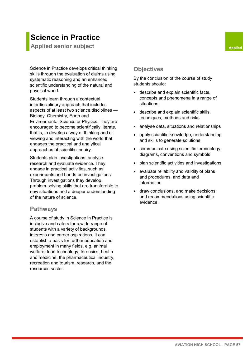## **Science in Practice**

**Applied senior subject Applied Applied Applied** 

Science in Practice develops critical thinking skills through the evaluation of claims using systematic reasoning and an enhanced scientific understanding of the natural and physical world.

Students learn through a contextual interdisciplinary approach that includes aspects of at least two science disciplines — Biology, Chemistry, Earth and Environmental Science or Physics. They are encouraged to become scientifically literate, that is, to develop a way of thinking and of viewing and interacting with the world that engages the practical and analytical approaches of scientific inquiry.

Students plan investigations, analyse research and evaluate evidence. They engage in practical activities, such as experiments and hands-on investigations. Through investigations they develop problem-solving skills that are transferable to new situations and a deeper understanding of the nature of science.

#### **Pathways**

A course of study in Science in Practice is inclusive and caters for a wide range of students with a variety of backgrounds, interests and career aspirations. It can establish a basis for further education and employment in many fields, e.g. animal welfare, food technology, forensics, health and medicine, the pharmaceutical industry, recreation and tourism, research, and the resources sector.

## **Objectives**

- describe and explain scientific facts, concepts and phenomena in a range of situations
- describe and explain scientific skills, techniques, methods and risks
- analyse data, situations and relationships
- apply scientific knowledge, understanding and skills to generate solutions
- communicate using scientific terminology, diagrams, conventions and symbols
- plan scientific activities and investigations
- evaluate reliability and validity of plans and procedures, and data and information
- draw conclusions, and make decisions and recommendations using scientific evidence.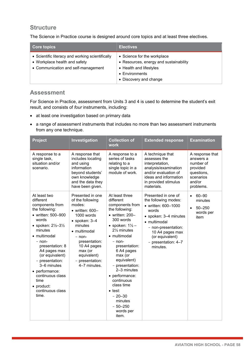The Science in Practice course is designed around core topics and at least three electives.

| <b>Core topics</b>                                                                                                       | <b>Electives</b>                                                                                                                             |
|--------------------------------------------------------------------------------------------------------------------------|----------------------------------------------------------------------------------------------------------------------------------------------|
| • Scientific literacy and working scientifically<br>• Workplace health and safety<br>• Communication and self-management | • Science for the workplace<br>• Resources, energy and sustainability<br>• Health and lifestyles<br>• Environments<br>• Discovery and change |

### **Assessment**

For Science in Practice, assessment from Units 3 and 4 is used to determine the student's exit result, and consists of *four* instruments, including:

- at least one investigation based on primary data
- a range of assessment instruments that includes no more than two assessment instruments from any one technique.

| <b>Project</b>                                                                                                                                                                                                                                                                                                                                                 | Investigation                                                                                                                                                                                                                                      | <b>Collection of</b><br><b>work</b>                                                                                                                                                                                                                                                                                                                                                                                    | <b>Extended response</b>                                                                                                                                                                                             | <b>Examination</b>                                                                                      |
|----------------------------------------------------------------------------------------------------------------------------------------------------------------------------------------------------------------------------------------------------------------------------------------------------------------------------------------------------------------|----------------------------------------------------------------------------------------------------------------------------------------------------------------------------------------------------------------------------------------------------|------------------------------------------------------------------------------------------------------------------------------------------------------------------------------------------------------------------------------------------------------------------------------------------------------------------------------------------------------------------------------------------------------------------------|----------------------------------------------------------------------------------------------------------------------------------------------------------------------------------------------------------------------|---------------------------------------------------------------------------------------------------------|
| A response to a<br>single task,<br>situation and/or<br>scenario.                                                                                                                                                                                                                                                                                               | A response that<br>includes locating<br>and using<br>information<br>beyond students'<br>own knowledge<br>and the data they<br>have been given.                                                                                                     | A response to a<br>series of tasks<br>relating to a<br>single topic in a<br>module of work.                                                                                                                                                                                                                                                                                                                            | A technique that<br>assesses the<br>interpretation,<br>analysis/examination<br>and/or evaluation of<br>ideas and information<br>in provided stimulus<br>materials.                                                   | A response that<br>answers a<br>number of<br>provided<br>questions,<br>scenarios<br>and/or<br>problems. |
| At least two<br>different<br>components from<br>the following:<br>• written: 500-900<br>words<br>• spoken: $2\frac{1}{2} - 3\frac{1}{2}$<br>minutes<br>• multimodal<br>- non-<br>presentation: 8<br>A4 pages max<br>(or equivalent)<br>- presentation:<br>3-6 minutes<br>• performance:<br>continuous class<br>time<br>• product:<br>continuous class<br>time. | Presented in one<br>of the following<br>modes:<br>$\bullet$ written: 600-<br>1000 words<br>$\bullet$ spoken: 3-4<br>minutes<br>• multimodal<br>- non-<br>presentation:<br>10 A4 pages<br>max (or<br>equivalent)<br>- presentation:<br>4-7 minutes. | At least three<br>different<br>components from<br>the following:<br>$\bullet$ written: 200-<br>300 words<br>• spoken: $1\frac{1}{2}$ –<br>21/ <sub>2</sub> minutes<br>• multimodal<br>– non-<br>presentation:<br>6 A4 pages<br>max (or<br>equivalent)<br>- presentation:<br>2-3 minutes<br>• performance:<br>continuous<br>class time<br>$\bullet$ test:<br>$-20 - 30$<br>minutes<br>$-50 - 250$<br>words per<br>item. | Presented in one of<br>the following modes:<br>• written: 600-1000<br>words<br>• spoken: 3-4 minutes<br>• multimodal<br>- non-presentation:<br>10 A4 pages max<br>(or equivalent)<br>- presentation: 4-7<br>minutes. | $60 - 90$<br>$\bullet$<br>minutes<br>$50 - 250$<br>$\bullet$<br>words per<br>item                       |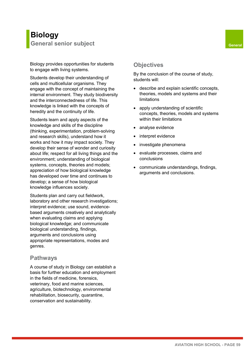Biology provides opportunities for students to engage with living systems.

Students develop their understanding of cells and multicellular organisms. They engage with the concept of maintaining the internal environment. They study biodiversity and the interconnectedness of life. This knowledge is linked with the concepts of heredity and the continuity of life.

Students learn and apply aspects of the knowledge and skills of the discipline (thinking, experimentation, problem-solving and research skills), understand how it works and how it may impact society. They develop their sense of wonder and curiosity about life; respect for all living things and the environment; understanding of biological systems, concepts, theories and models; appreciation of how biological knowledge has developed over time and continues to develop; a sense of how biological knowledge influences society.

Students plan and carry out fieldwork, laboratory and other research investigations; interpret evidence; use sound, evidencebased arguments creatively and analytically when evaluating claims and applying biological knowledge; and communicate biological understanding, findings, arguments and conclusions using appropriate representations, modes and genres.

#### **Pathways**

A course of study in Biology can establish a basis for further education and employment in the fields of medicine, forensics, veterinary, food and marine sciences, agriculture, biotechnology, environmental rehabilitation, biosecurity, quarantine, conservation and sustainability.

#### **Objectives**

- describe and explain scientific concepts, theories, models and systems and their limitations
- apply understanding of scientific concepts, theories, models and systems within their limitations
- analyse evidence
- interpret evidence
- investigate phenomena
- evaluate processes, claims and conclusions
- communicate understandings, findings, arguments and conclusions.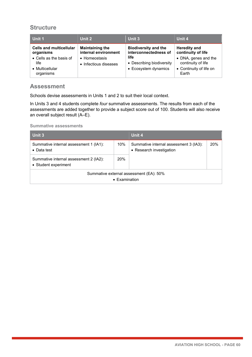| Unit 1                                                                                                         | Unit 2                                                                                   | Unit 3                                                                                                            | Unit 4                                                                                                                      |
|----------------------------------------------------------------------------------------------------------------|------------------------------------------------------------------------------------------|-------------------------------------------------------------------------------------------------------------------|-----------------------------------------------------------------------------------------------------------------------------|
| <b>Cells and multicellular</b><br>organisms<br>• Cells as the basis of<br>life<br>• Multicellular<br>organisms | <b>Maintaining the</b><br>internal environment<br>• Homeostasis<br>• Infectious diseases | <b>Biodiversity and the</b><br>interconnectedness of<br>life<br>• Describing biodiversity<br>• Ecosystem dynamics | <b>Heredity and</b><br>continuity of life<br>• DNA, genes and the<br>continuity of life<br>• Continuity of life on<br>Earth |

#### **Assessment**

Schools devise assessments in Units 1 and 2 to suit their local context.

In Units 3 and 4 students complete *four* summative assessments. The results from each of the assessments are added together to provide a subject score out of 100. Students will also receive an overall subject result (A–E).

| Unit 3                                                         |               | Unit 4                                                             |     |
|----------------------------------------------------------------|---------------|--------------------------------------------------------------------|-----|
| Summative internal assessment 1 (IA1):<br>$\bullet$ Data test  | 10%           | Summative internal assessment 3 (IA3):<br>• Research investigation | 20% |
| Summative internal assessment 2 (IA2):<br>• Student experiment | 20%           |                                                                    |     |
|                                                                | • Examination | Summative external assessment (EA): 50%                            |     |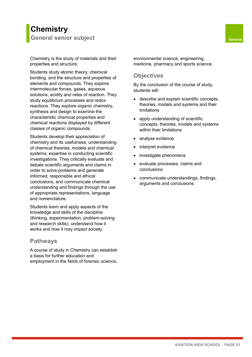## **Chemistry General senior subject General**

Chemistry is the study of materials and their properties and structure.

Students study atomic theory, chemical bonding, and the structure and properties of elements and compounds. They explore intermolecular forces, gases, aqueous solutions, acidity and rates of reaction. They study equilibrium processes and redox reactions. They explore organic chemistry, synthesis and design to examine the characteristic chemical properties and chemical reactions displayed by different classes of organic compounds.

Students develop their appreciation of chemistry and its usefulness; understanding of chemical theories, models and chemical systems; expertise in conducting scientific investigations. They critically evaluate and debate scientific arguments and claims in order to solve problems and generate informed, responsible and ethical conclusions, and communicate chemical understanding and findings through the use of appropriate representations, language and nomenclature.

Students learn and apply aspects of the knowledge and skills of the discipline (thinking, experimentation, problem-solving and research skills), understand how it works and how it may impact society.

#### **Pathways**

A course of study in Chemistry can establish a basis for further education and employment in the fields of forensic science, environmental science, engineering, medicine, pharmacy and sports science.

#### **Objectives**

- describe and explain scientific concepts, theories, models and systems and their limitations
- apply understanding of scientific concepts, theories, models and systems within their limitations
- analyse evidence
- interpret evidence
- investigate phenomena
- evaluate processes, claims and conclusions
- communicate understandings, findings, arguments and conclusions.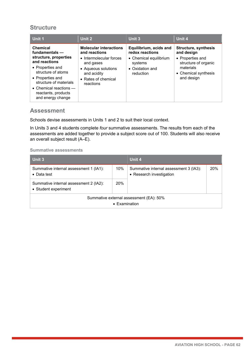| Unit 1                                                                                                                                                                                                                                       | Unit 2                                                                                                                                                           | Unit 3                                                                                                         | Unit 4                                                                                                                                   |
|----------------------------------------------------------------------------------------------------------------------------------------------------------------------------------------------------------------------------------------------|------------------------------------------------------------------------------------------------------------------------------------------------------------------|----------------------------------------------------------------------------------------------------------------|------------------------------------------------------------------------------------------------------------------------------------------|
| Chemical<br>fundamentals -<br>structure, properties<br>and reactions<br>• Properties and<br>structure of atoms<br>• Properties and<br>structure of materials<br>$\bullet$ Chemical reactions $-$<br>reactants, products<br>and energy change | <b>Molecular interactions</b><br>and reactions<br>• Intermolecular forces<br>and gases<br>• Aqueous solutions<br>and acidity<br>• Rates of chemical<br>reactions | Equilibrium, acids and<br>redox reactions<br>• Chemical equilibrium<br>systems<br>• Oxidation and<br>reduction | <b>Structure, synthesis</b><br>and design<br>• Properties and<br>structure of organic<br>materials<br>• Chemical synthesis<br>and design |

#### **Assessment**

Schools devise assessments in Units 1 and 2 to suit their local context.

In Units 3 and 4 students complete *four* summative assessments. The results from each of the assessments are added together to provide a subject score out of 100. Students will also receive an overall subject result (A–E).

| Unit 3                                                         |                       | Unit 4                                                             |     |
|----------------------------------------------------------------|-----------------------|--------------------------------------------------------------------|-----|
| Summative internal assessment 1 (IA1):<br>$\bullet$ Data test  | 10%                   | Summative internal assessment 3 (IA3):<br>• Research investigation | 20% |
| Summative internal assessment 2 (IA2):<br>• Student experiment | 20%                   |                                                                    |     |
|                                                                | $\bullet$ Examination | Summative external assessment (EA): 50%                            |     |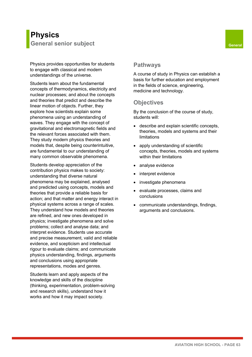Physics provides opportunities for students to engage with classical and modern understandings of the universe.

Students learn about the fundamental concepts of thermodynamics, electricity and nuclear processes; and about the concepts and theories that predict and describe the linear motion of objects. Further, they explore how scientists explain some phenomena using an understanding of waves. They engage with the concept of gravitational and electromagnetic fields and the relevant forces associated with them. They study modern physics theories and models that, despite being counterintuitive, are fundamental to our understanding of many common observable phenomena.

Students develop appreciation of the contribution physics makes to society: understanding that diverse natural phenomena may be explained, analysed and predicted using concepts, models and theories that provide a reliable basis for action; and that matter and energy interact in physical systems across a range of scales. They understand how models and theories are refined, and new ones developed in physics; investigate phenomena and solve problems; collect and analyse data; and interpret evidence. Students use accurate and precise measurement, valid and reliable evidence, and scepticism and intellectual rigour to evaluate claims; and communicate physics understanding, findings, arguments and conclusions using appropriate representations, modes and genres.

Students learn and apply aspects of the knowledge and skills of the discipline (thinking, experimentation, problem-solving and research skills), understand how it works and how it may impact society.

#### **Pathways**

A course of study in Physics can establish a basis for further education and employment in the fields of science, engineering, medicine and technology.

## **Objectives**

- describe and explain scientific concepts, theories, models and systems and their limitations
- apply understanding of scientific concepts, theories, models and systems within their limitations
- analyse evidence
- interpret evidence
- investigate phenomena
- evaluate processes, claims and conclusions
- communicate understandings, findings, arguments and conclusions.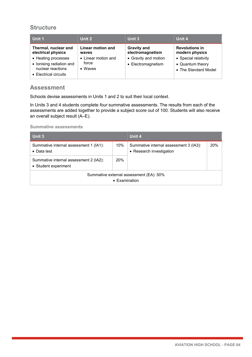| Unit 1                                                                                        | Unit 2                                  | Unit 3                                     | Unit 4                                                           |
|-----------------------------------------------------------------------------------------------|-----------------------------------------|--------------------------------------------|------------------------------------------------------------------|
| Thermal, nuclear and<br>electrical physics                                                    | Linear motion and<br>waves              | <b>Gravity and</b><br>electromagnetism     | <b>Revolutions in</b><br>modern physics                          |
| • Heating processes<br>• Ionising radiation and<br>nuclear reactions<br>• Electrical circuits | • Linear motion and<br>force<br>• Waves | • Gravity and motion<br>• Electromagnetism | • Special relativity<br>• Quantum theory<br>• The Standard Model |

#### **Assessment**

Schools devise assessments in Units 1 and 2 to suit their local context.

In Units 3 and 4 students complete *four* summative assessments. The results from each of the assessments are added together to provide a subject score out of 100. Students will also receive an overall subject result (A–E).

| Unit 3                                                           |            | Unit 4                                                             |     |
|------------------------------------------------------------------|------------|--------------------------------------------------------------------|-----|
| Summative internal assessment 1 (IA1):<br>$\bullet$ Data test    | 10%        | Summative internal assessment 3 (IA3):<br>• Research investigation | 20% |
| Summative internal assessment 2 (IA2):<br>• Student experiment   | <b>20%</b> |                                                                    |     |
| Summative external assessment (EA): 50%<br>$\bullet$ Examination |            |                                                                    |     |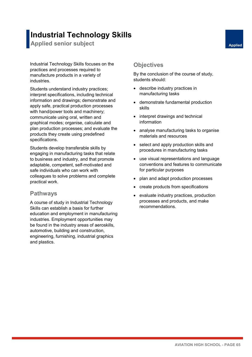## **Industrial Technology Skills**

**Applied senior subject Applied Applied Applied** 

Industrial Technology Skills focuses on the practices and processes required to manufacture products in a variety of industries.

Students understand industry practices; interpret specifications, including technical information and drawings; demonstrate and apply safe, practical production processes with hand/power tools and machinery; communicate using oral, written and graphical modes; organise, calculate and plan production processes; and evaluate the products they create using predefined specifications.

Students develop transferable skills by engaging in manufacturing tasks that relate to business and industry, and that promote adaptable, competent, self-motivated and safe individuals who can work with colleagues to solve problems and complete practical work.

#### **Pathways**

A course of study in Industrial Technology Skills can establish a basis for further education and employment in manufacturing industries. Employment opportunities may be found in the industry areas of aeroskills, automotive, building and construction, engineering, furnishing, industrial graphics and plastics.

#### **Objectives**

- describe industry practices in manufacturing tasks
- demonstrate fundamental production skills
- interpret drawings and technical information
- analyse manufacturing tasks to organise materials and resources
- select and apply production skills and procedures in manufacturing tasks
- use visual representations and language conventions and features to communicate for particular purposes
- plan and adapt production processes
- create products from specifications
- evaluate industry practices, production processes and products, and make recommendations.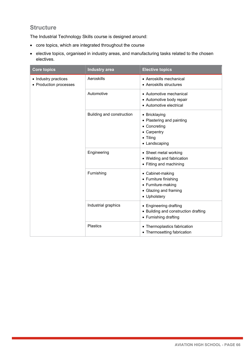The Industrial Technology Skills course is designed around:

- core topics, which are integrated throughout the course
- elective topics, organised in industry areas, and manufacturing tasks related to the chosen electives.

| <b>Core topics</b>                             | <b>Industry area</b>      | <b>Elective topics</b>                                                                                         |
|------------------------------------------------|---------------------------|----------------------------------------------------------------------------------------------------------------|
| • Industry practices<br>• Production processes | Aeroskills                | • Aeroskills mechanical<br>• Aeroskills structures                                                             |
|                                                | Automotive                | • Automotive mechanical<br>• Automotive body repair<br>• Automotive electrical                                 |
|                                                | Building and construction | • Bricklaying<br>• Plastering and painting<br>• Concreting<br>• Carpentry<br>$\bullet$ Tiling<br>• Landscaping |
|                                                | Engineering               | • Sheet metal working<br>• Welding and fabrication<br>• Fitting and machining                                  |
|                                                | Furnishing                | • Cabinet-making<br>• Furniture finishing<br>• Furniture-making<br>• Glazing and framing<br>• Upholstery       |
|                                                | Industrial graphics       | • Engineering drafting<br>• Building and construction drafting<br>• Furnishing drafting                        |
|                                                | <b>Plastics</b>           | • Thermoplastics fabrication<br>• Thermosetting fabrication                                                    |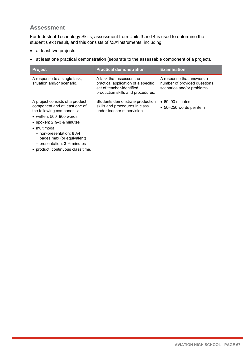### **Assessment**

For Industrial Technology Skills, assessment from Units 3 and 4 is used to determine the student's exit result, and this consists of *four* instruments, including:

- at least two projects
- at least one practical demonstration (separate to the assessable component of a project).

| <b>Project</b>                                                                                                                                                                                                                                                                                                                        | <b>Practical demonstration</b>                                                                                                    | <b>Examination</b>                                                                       |
|---------------------------------------------------------------------------------------------------------------------------------------------------------------------------------------------------------------------------------------------------------------------------------------------------------------------------------------|-----------------------------------------------------------------------------------------------------------------------------------|------------------------------------------------------------------------------------------|
| A response to a single task,<br>situation and/or scenario.                                                                                                                                                                                                                                                                            | A task that assesses the<br>practical application of a specific<br>set of teacher-identified<br>production skills and procedures. | A response that answers a<br>number of provided questions,<br>scenarios and/or problems. |
| A project consists of a product<br>component and at least one of<br>the following components:<br>$\bullet\,$ written: 500–900 words<br>• spoken: $2\frac{1}{2}$ –3 $\frac{1}{2}$ minutes<br>• multimodal<br>- non-presentation: 8 A4<br>pages max (or equivalent)<br>- presentation: 3-6 minutes<br>• product: continuous class time. | Students demonstrate production<br>skills and procedures in class<br>under teacher supervision.                                   | $\bullet$ 60–90 minutes<br>• 50-250 words per item                                       |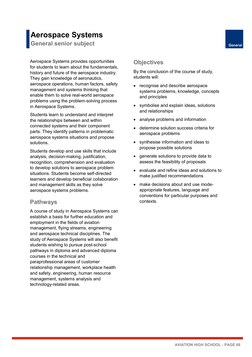## **Aerospace Systems**

**General senior subject General** 

Aerospace Systems provides opportunities for students to learn about the fundamentals, history and future of the aerospace industry. They gain knowledge of aeronautics, aerospace operations, human factors, safety management and systems thinking that enable them to solve real-world aerospace problems using the problem-solving process in Aerospace Systems.

Students learn to understand and interpret the relationships between and within connected systems and their component parts. They identify patterns in problematic aerospace systems situations and propose solutions.

Students develop and use skills that include analysis, decision-making, justification, recognition, comprehension and evaluation to develop solutions to aerospace problem situations. Students become self-directed learners and develop beneficial collaboration and management skills as they solve aerospace systems problems.

#### **Pathways**

A course of study in Aerospace Systems can establish a basis for further education and employment in the fields of aviation management, flying streams, engineering and aerospace technical disciplines. The study of Aerospace Systems will also benefit students wishing to pursue post-school pathways in diploma and advanced diploma courses in the technical and paraprofessional areas of customer relationship management, workplace health and safety, engineering, human resource management, systems analysis and technology-related areas.

#### **Objectives**

By the conclusion of the course of study, students will:

- recognise and describe aerospace systems problems, knowledge, concepts and principles
- symbolise and explain ideas, solutions and relationships
- analyse problems and information
- determine solution success criteria for aerospace problems
- synthesise information and ideas to propose possible solutions
- generate solutions to provide data to assess the feasibility of proposals
- evaluate and refine ideas and solutions to make justified recommendations
- make decisions about and use modeappropriate features, language and conventions for particular purposes and contexts.

**AVIATION HIGH SCHOOL - PAGE 68**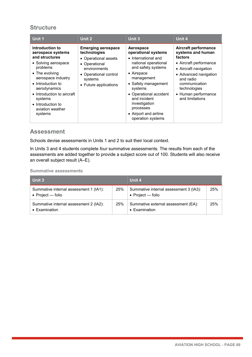| Unit 1                                                                                                                                                                                                                                                                      | Unit 2                                                                                                                                                          | Unit 3                                                                                                                                                                                                                                                                                    | Unit 4                                                                                                                                                                                                                          |
|-----------------------------------------------------------------------------------------------------------------------------------------------------------------------------------------------------------------------------------------------------------------------------|-----------------------------------------------------------------------------------------------------------------------------------------------------------------|-------------------------------------------------------------------------------------------------------------------------------------------------------------------------------------------------------------------------------------------------------------------------------------------|---------------------------------------------------------------------------------------------------------------------------------------------------------------------------------------------------------------------------------|
| Introduction to<br>aerospace systems<br>and structures<br>• Solving aerospace<br>problems<br>$\bullet$ The evolving<br>aerospace industry<br>• Introduction to<br>aerodynamics<br>• Introduction to aircraft<br>systems<br>• Introduction to<br>aviation weather<br>systems | <b>Emerging aerospace</b><br>technologies<br>• Operational assets<br>• Operational<br>environments<br>• Operational control<br>systems<br>• Future applications | Aerospace<br>operational systems<br>• International and<br>national operational<br>and safety systems<br>• Airspace<br>management<br>• Safety management<br>systems<br>• Operational accident<br>and incident<br>investigation<br>processes<br>• Airport and airline<br>operation systems | <b>Aircraft performance</b><br>systems and human<br>factors<br>• Aircraft performance<br>• Aircraft navigation<br>• Advanced navigation<br>and radio<br>communication<br>technologies<br>• Human performance<br>and limitations |

#### **Assessment**

Schools devise assessments in Units 1 and 2 to suit their local context.

In Units 3 and 4 students complete *four* summative assessments. The results from each of the assessments are added together to provide a subject score out of 100. Students will also receive an overall subject result (A–E).

| Unit 3                                                              |     | Unit 4                                                        |     |
|---------------------------------------------------------------------|-----|---------------------------------------------------------------|-----|
| Summative internal assessment 1 (IA1):<br>$\bullet$ Project — folio | 25% | Summative internal assessment 3 (IA3):<br>• Project $-$ folio | 25% |
| Summative internal assessment 2 (IA2):<br>• Examination             | 25% | Summative external assessment (EA):<br>• Examination          | 25% |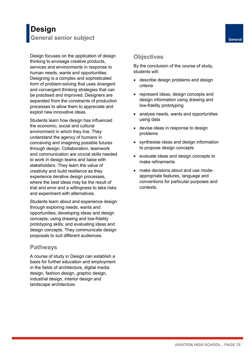## **Design General senior subject General**

Design focuses on the application of design thinking to envisage creative products, services and environments in response to human needs, wants and opportunities. Designing is a complex and sophisticated form of problem-solving that uses divergent and convergent thinking strategies that can be practised and improved. Designers are separated from the constraints of production processes to allow them to appreciate and exploit new innovative ideas.

Students learn how design has influenced the economic, social and cultural environment in which they live. They understand the agency of humans in conceiving and imagining possible futures through design. Collaboration, teamwork and communication are crucial skills needed to work in design teams and liaise with stakeholders. They learn the value of creativity and build resilience as they experience iterative design processes, where the best ideas may be the result of trial and error and a willingness to take risks and experiment with alternatives.

Students learn about and experience design through exploring needs, wants and opportunities; developing ideas and design concepts; using drawing and low-fidelity prototyping skills; and evaluating ideas and design concepts. They communicate design proposals to suit different audiences.

### **Pathways**

A course of study in Design can establish a basis for further education and employment in the fields of architecture, digital media design, fashion design, graphic design, industrial design, interior design and landscape architecture.

- describe design problems and design criteria
- represent ideas, design concepts and design information using drawing and low-fidelity prototyping
- analyse needs, wants and opportunities using data
- devise ideas in response to design problems
- synthesise ideas and design information to propose design concepts
- evaluate ideas and design concepts to make refinements
- make decisions about and use modeappropriate features, language and conventions for particular purposes and contexts.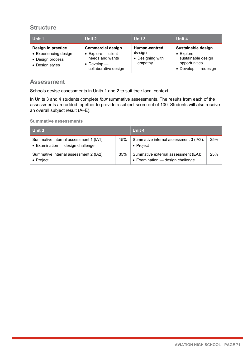| Unit 1                                                                             | Unit 2                                                                                                           | Unit 3                                                 | Unit 4                                                                                                   |
|------------------------------------------------------------------------------------|------------------------------------------------------------------------------------------------------------------|--------------------------------------------------------|----------------------------------------------------------------------------------------------------------|
| Design in practice<br>• Experiencing design<br>• Design process<br>• Design styles | <b>Commercial design</b><br>$\bullet$ Explore – client<br>needs and wants<br>• Develop —<br>collaborative design | Human-centred<br>design<br>• Designing with<br>empathy | Sustainable design<br>$\bullet$ Explore —<br>sustainable design<br>opportunities<br>• Develop - redesign |

### **Assessment**

Schools devise assessments in Units 1 and 2 to suit their local context.

In Units 3 and 4 students complete *four* summative assessments. The results from each of the assessments are added together to provide a subject score out of 100. Students will also receive an overall subject result (A–E).

| Unit 3                                                                     |     | Unit 4                                                                  |     |
|----------------------------------------------------------------------------|-----|-------------------------------------------------------------------------|-----|
| Summative internal assessment 1 (IA1):<br>• Examination - design challenge | 15% | Summative internal assessment 3 (IA3):<br>$\bullet$ Project             | 25% |
| Summative internal assessment 2 (IA2):<br>$\bullet$ Project                | 35% | Summative external assessment (EA):<br>• Examination - design challenge | 25% |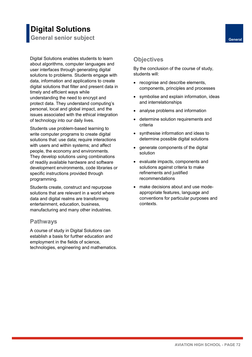### **Digital Solutions General senior subject General**

Digital Solutions enables students to learn about algorithms, computer languages and user interfaces through generating digital solutions to problems. Students engage with data, information and applications to create digital solutions that filter and present data in timely and efficient ways while understanding the need to encrypt and protect data. They understand computing's personal, local and global impact, and the issues associated with the ethical integration of technology into our daily lives.

Students use problem-based learning to write computer programs to create digital solutions that: use data; require interactions with users and within systems; and affect people, the economy and environments. They develop solutions using combinations of readily available hardware and software development environments, code libraries or specific instructions provided through programming.

Students create, construct and repurpose solutions that are relevant in a world where data and digital realms are transforming entertainment, education, business, manufacturing and many other industries.

### **Pathways**

A course of study in Digital Solutions can establish a basis for further education and employment in the fields of science, technologies, engineering and mathematics.

- recognise and describe elements, components, principles and processes
- symbolise and explain information, ideas and interrelationships
- analyse problems and information
- determine solution requirements and criteria
- synthesise information and ideas to determine possible digital solutions
- generate components of the digital solution
- evaluate impacts, components and solutions against criteria to make refinements and justified recommendations
- make decisions about and use modeappropriate features, language and conventions for particular purposes and contexts.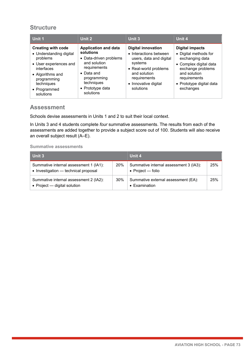| Unit 1                                                                                                                                                                                 | Unit 2                                                                                                                                                                                 | Unit 3                                                                                                                                                                                  | Unit 4                                                                                                                                                                                     |
|----------------------------------------------------------------------------------------------------------------------------------------------------------------------------------------|----------------------------------------------------------------------------------------------------------------------------------------------------------------------------------------|-----------------------------------------------------------------------------------------------------------------------------------------------------------------------------------------|--------------------------------------------------------------------------------------------------------------------------------------------------------------------------------------------|
| <b>Creating with code</b><br>• Understanding digital<br>problems<br>• User experiences and<br>interfaces<br>• Algorithms and<br>programming<br>techniques<br>• Programmed<br>solutions | <b>Application and data</b><br>solutions<br>• Data-driven problems<br>and solution<br>requirements<br>$\bullet$ Data and<br>programming<br>techniques<br>• Prototype data<br>solutions | <b>Digital innovation</b><br>• Interactions between<br>users, data and digital<br>systems<br>• Real-world problems<br>and solution<br>requirements<br>• Innovative digital<br>solutions | <b>Digital impacts</b><br>• Digital methods for<br>exchanging data<br>• Complex digital data<br>exchange problems<br>and solution<br>requirements<br>• Prototype digital data<br>exchanges |

### **Assessment**

Schools devise assessments in Units 1 and 2 to suit their local context.

In Units 3 and 4 students complete *four* summative assessments. The results from each of the assessments are added together to provide a subject score out of 100. Students will also receive an overall subject result (A–E).

| Unit 3                                                                         |     | Unit 4                                                      |     |
|--------------------------------------------------------------------------------|-----|-------------------------------------------------------------|-----|
| Summative internal assessment 1 (IA1):<br>• Investigation — technical proposal | 20% | Summative internal assessment 3 (IA3):<br>• Project — folio | 25% |
| Summative internal assessment 2 (IA2):<br>• Project $-$ digital solution       | 30% | Summative external assessment (EA):<br>• Examination        | 25% |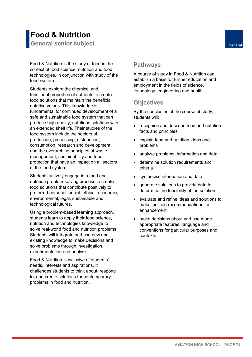# **Food & Nutrition**

**General senior subject General**

Food & Nutrition is the study of food in the context of food science, nutrition and food technologies, in conjunction with study of the food system.

 functional properties of nutrients to create food solutions that maintain the beneficial Ŭ  $\overline{\phantom{a}}$ j .<br>. ľ j consumption, research and development and the overarching principles of waste protection that have an impact on all sectors of the food system. Students explore the chemical and nutritive values. This knowledge is fundamental for continued development of a safe and sustainable food system that can produce high quality, nutritious solutions with an extended shelf life. Their studies of the food system include the sectors of production, processing, distribution, management, sustainability and food

 Students actively engage in a food and food solutions that contribute positively to preferred personal, social, ethical, economic, nutrition problem-solving process to create environmental, legal, sustainable and technological futures.

students learn to apply their food science, nutrition and technologies knowledge to existing knowledge to make decisions and solve problems through investigation, Using a problem-based learning approach, solve real-world food and nutrition problems. Students will integrate and use new and experimentation and analysis.

J needs, interests and aspirations. It challenges students to think about, respond problems in food and nutrition. Food & Nutrition is inclusive of students' to, and create solutions for contemporary

### **Pathways**

A course of study in Food & Nutrition can establish a basis for further education and employment in the fields of science, technology, engineering and health.

### **Objectives**

- recognise and describe food and nutrition facts and principles
- explain food and nutrition ideas and problems
- analyse problems, information and data
- determine solution requirements and criteria
- synthesise information and data
- generate solutions to provide data to determine the feasibility of the solution
- evaluate and refine ideas and solutions to make justified recommendations for enhancement
- make decisions about and use modeappropriate features, language and conventions for particular purposes and contexts.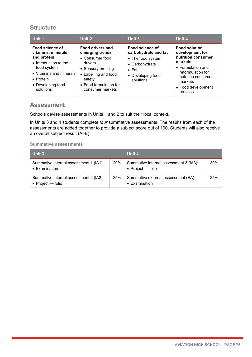| Unit 1                                                                                                                                                                         | Unit 2                                                                                                                                                                          | Unit 3                                                                                                                            | Unit 4                                                                                                                                                                               |
|--------------------------------------------------------------------------------------------------------------------------------------------------------------------------------|---------------------------------------------------------------------------------------------------------------------------------------------------------------------------------|-----------------------------------------------------------------------------------------------------------------------------------|--------------------------------------------------------------------------------------------------------------------------------------------------------------------------------------|
| Food science of<br>vitamins, minerals<br>and protein<br>• Introduction to the<br>food system<br>• Vitamins and minerals<br>$\bullet$ Protein<br>• Developing food<br>solutions | <b>Food drivers and</b><br>emerging trends<br>• Consumer food<br>drivers<br>• Sensory profiling<br>• Labelling and food<br>safety<br>• Food formulation for<br>consumer markets | Food science of<br>carbohydrate and fat<br>• The food system<br>• Carbohydrate<br>$\bullet$ Fat<br>• Developing food<br>solutions | <b>Food solution</b><br>development for<br>nutrition consumer<br>markets<br>• Formulation and<br>reformulation for<br>nutrition consumer<br>markets<br>• Food development<br>process |

### **Assessment**

Schools devise assessments in Units 1 and 2 to suit their local context.

In Units 3 and 4 students complete *four* summative assessments. The results from each of the assessments are added together to provide a subject score out of 100. Students will also receive an overall subject result (A–E).

| Unit 3                                                          |     | Unit 4                                                              |     |
|-----------------------------------------------------------------|-----|---------------------------------------------------------------------|-----|
| Summative internal assessment 1 (IA1):<br>$\bullet$ Examination | 20% | Summative internal assessment 3 (IA3):<br>$\bullet$ Project — folio | 30% |
| Summative internal assessment 2 (IA2):<br>• Project $-$ folio   | 25% | Summative external assessment (EA):<br>• Examination                | 25% |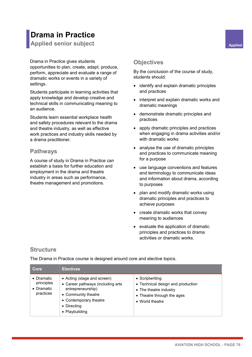# **Drama in Practice**

**Applied senior subject Applied Applied Applied** 

Drama in Practice gives students opportunities to plan, create, adapt, produce, perform, appreciate and evaluate a range of dramatic works or events in a variety of settings.

Students participate in learning activities that apply knowledge and develop creative and technical skills in communicating meaning to an audience.

Students learn essential workplace health and safety procedures relevant to the drama and theatre industry, as well as effective work practices and industry skills needed by a drama practitioner.

### **Pathways**

A course of study in Drama in Practice can establish a basis for further education and employment in the drama and theatre industry in areas such as performance, theatre management and promotions.

### **Objectives**

By the conclusion of the course of study, students should:

- identify and explain dramatic principles and practices
- interpret and explain dramatic works and dramatic meanings
- demonstrate dramatic principles and practices
- apply dramatic principles and practices when engaging in drama activities and/or with dramatic works
- analyse the use of dramatic principles and practices to communicate meaning for a purpose
- use language conventions and features and terminology to communicate ideas and information about drama, according to purposes
- plan and modify dramatic works using dramatic principles and practices to achieve purposes
- create dramatic works that convey meaning to audiences
- evaluate the application of dramatic principles and practices to drama activities or dramatic works.

### **Structure**

The Drama in Practice course is designed around core and elective topics.

| Core                                                                | <b>Electives</b>                                                                                                                                                        |                                                                                                                                 |
|---------------------------------------------------------------------|-------------------------------------------------------------------------------------------------------------------------------------------------------------------------|---------------------------------------------------------------------------------------------------------------------------------|
| $\bullet$ Dramatic<br>principles<br>$\bullet$ Dramatic<br>practices | • Acting (stage and screen)<br>• Career pathways (including arts<br>entrepreneurship)<br>• Community theatre<br>• Contemporary theatre<br>• Directing<br>• Playbuilding | • Scriptwriting<br>• Technical design and production<br>• The theatre industry<br>• Theatre through the ages<br>• World theatre |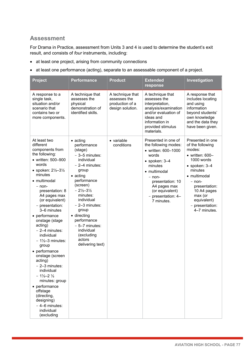### **Assessment**

For Drama in Practice, assessment from Units 3 and 4 is used to determine the student's exit result, and consists of *four* instruments, including:

- at least one project, arising from community connections
- at least one performance (acting), separate to an assessable component of a project.

| <b>Project</b>                                                                                                                                                                                                                                                                                                                                                                                                                                                                                                                                                                                                                         | <b>Performance</b>                                                                                                                                                                                                                                                                                                                                    | <b>Product</b>                                                          | <b>Extended</b><br>response                                                                                                                                                                                                            | Investigation                                                                                                                                                                                                                                        |
|----------------------------------------------------------------------------------------------------------------------------------------------------------------------------------------------------------------------------------------------------------------------------------------------------------------------------------------------------------------------------------------------------------------------------------------------------------------------------------------------------------------------------------------------------------------------------------------------------------------------------------------|-------------------------------------------------------------------------------------------------------------------------------------------------------------------------------------------------------------------------------------------------------------------------------------------------------------------------------------------------------|-------------------------------------------------------------------------|----------------------------------------------------------------------------------------------------------------------------------------------------------------------------------------------------------------------------------------|------------------------------------------------------------------------------------------------------------------------------------------------------------------------------------------------------------------------------------------------------|
| A response to a<br>single task,<br>situation and/or<br>scenario that<br>contains two or<br>more components.                                                                                                                                                                                                                                                                                                                                                                                                                                                                                                                            | A technique that<br>assesses the<br>physical<br>demonstration of<br>identified skills.                                                                                                                                                                                                                                                                | A technique that<br>assesses the<br>production of a<br>design solution. | A technique that<br>assesses the<br>interpretation,<br>analysis/examination<br>and/or evaluation of<br>ideas and<br>information in<br>provided stimulus<br>materials.                                                                  | A response that<br>includes locating<br>and using<br>information<br>beyond students'<br>own knowledge<br>and the data they<br>have been given.                                                                                                       |
| At least two<br>different<br>components from<br>the following:<br>• written: 500-900<br>words<br>• spoken: $2\frac{1}{2} - 3\frac{1}{2}$<br>minutes<br>• multimodal<br>$-$ non-<br>presentation: 8<br>A4 pages max<br>(or equivalent)<br>- presentation:<br>3-6 minutes<br>• performance<br>onstage (stage<br>acting)<br>$-2-4$ minutes:<br>individual<br>$-1\frac{1}{2}-3$ minutes:<br>group<br>• performance<br>onstage (screen<br>acting)<br>- 2-3 minutes:<br>individual<br>$-1\frac{1}{2}-2\frac{1}{2}$<br>minutes: group<br>• performance<br>offstage<br>(directing,<br>designing)<br>- 4-6 minutes:<br>individual<br>(excluding | $\bullet$ acting<br>performance<br>(stage)<br>$-3-5$ minutes:<br>individual<br>$-2-4$ minutes:<br>group<br>$\bullet$ acting<br>performance<br>(screen)<br>$-2\frac{1}{2}-3\frac{1}{2}$<br>minutes:<br>individual<br>- 2-3 minutes:<br>group<br>• directing<br>performance<br>- 5-7 minutes:<br>individual<br>(excluding<br>actors<br>delivering text) | • variable<br>conditions                                                | Presented in one of<br>the following modes:<br>• written: 600-1000<br>words<br>$\bullet$ spoken: $3-4$<br>minutes<br>• multimodal<br>- non-<br>presentation: 10<br>A4 pages max<br>(or equivalent)<br>- presentation: 4-<br>7 minutes. | Presented in one<br>of the following<br>modes:<br>$\bullet$ written: 600-<br>1000 words<br>$\bullet$ spoken: $3-4$<br>minutes<br>• multimodal<br>- non-<br>presentation:<br>10 A4 pages<br>max (or<br>equivalent)<br>- presentation:<br>4-7 minutes. |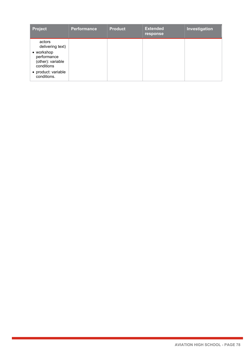| <b>Project</b>                                                                                                                   | <b>Performance</b> | <b>Product</b> | <b>Extended</b><br>response | Investigation |
|----------------------------------------------------------------------------------------------------------------------------------|--------------------|----------------|-----------------------------|---------------|
| actors<br>delivering text)<br>• workshop<br>performance<br>(other): variable<br>conditions<br>• product: variable<br>conditions. |                    |                |                             |               |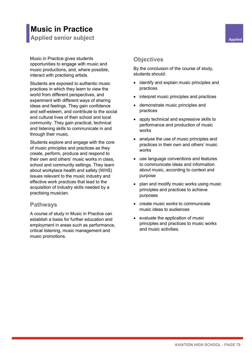# **Music in Practice**

**Applied senior subject Applied Applied Applied Applied Applied Applied** 

Music in Practice gives students opportunities to engage with music and music productions, and, where possible, interact with practising artists.

Students are exposed to authentic music practices in which they learn to view the world from different perspectives, and experiment with different ways of sharing ideas and feelings. They gain confidence and self-esteem, and contribute to the social and cultural lives of their school and local community. They gain practical, technical and listening skills to communicate in and through their music.

Students explore and engage with the core of music principles and practices as they create, perform, produce and respond to their own and others' music works in class, school and community settings. They learn about workplace health and safety (WHS) issues relevant to the music industry and effective work practices that lead to the acquisition of industry skills needed by a practising musician.

### **Pathways**

A course of study in Music in Practice can establish a basis for further education and employment in areas such as performance, critical listening, music management and music promotions.

### **Objectives**

- identify and explain music principles and practices
- interpret music principles and practices
- demonstrate music principles and practices
- apply technical and expressive skills to performance and production of music works
- analyse the use of music principles and practices in their own and others' music works
- use language conventions and features to communicate ideas and information about music, according to context and purpose
- plan and modify music works using music principles and practices to achieve purposes
- create music works to communicate music ideas to audiences
- evaluate the application of music principles and practices to music works and music activities.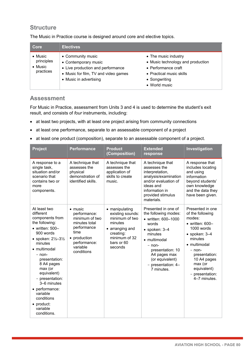The Music in Practice course is designed around core and elective topics.

| Core                                                          | <b>Electives</b>                                                                                                                                 |                                                                                                                                                |
|---------------------------------------------------------------|--------------------------------------------------------------------------------------------------------------------------------------------------|------------------------------------------------------------------------------------------------------------------------------------------------|
| $\bullet$ Music<br>principles<br>$\bullet$ Music<br>practices | • Community music<br>• Contemporary music<br>• Live production and performance<br>• Music for film, TV and video games<br>• Music in advertising | • The music industry<br>• Music technology and production<br>• Performance craft<br>• Practical music skills<br>• Songwriting<br>• World music |

### **Assessment**

For Music in Practice, assessment from Units 3 and 4 is used to determine the student's exit result, and consists of *four* instruments, including:

- at least two projects, with at least one project arising from community connections
- at least one performance, separate to an assessable component of a project
- at least one product (composition), separate to an assessable component of a project.

| <b>Project</b>                                                                                                                                                                                                                                                                                                                                                           | <b>Performance</b>                                                                                                                                  | <b>Product</b><br>(Composition)                                                                                                           | <b>Extended</b><br>response                                                                                                                                                                                                          | Investigation                                                                                                                                                                                                                                        |
|--------------------------------------------------------------------------------------------------------------------------------------------------------------------------------------------------------------------------------------------------------------------------------------------------------------------------------------------------------------------------|-----------------------------------------------------------------------------------------------------------------------------------------------------|-------------------------------------------------------------------------------------------------------------------------------------------|--------------------------------------------------------------------------------------------------------------------------------------------------------------------------------------------------------------------------------------|------------------------------------------------------------------------------------------------------------------------------------------------------------------------------------------------------------------------------------------------------|
| A response to a<br>single task,<br>situation and/or<br>scenario that<br>contains two or<br>more<br>components.                                                                                                                                                                                                                                                           | A technique that<br>assesses the<br>physical<br>demonstration of<br>identified skills.                                                              | A technique that<br>assesses the<br>application of<br>skills to create<br>music.                                                          | A technique that<br>assesses the<br>interpretation,<br>analysis/examination<br>and/or evaluation of<br>ideas and<br>information in<br>provided stimulus<br>materials.                                                                | A response that<br>includes locating<br>and using<br>information<br>beyond students'<br>own knowledge<br>and the data they<br>have been given.                                                                                                       |
| At least two<br>different<br>components from<br>the following:<br>$\bullet$ written: 500-<br>900 words<br>• spoken: $2\frac{1}{2} - 3\frac{1}{2}$<br>minutes<br>• multimodal<br>$-$ non-<br>presentation:<br>8 A4 pages<br>max (or<br>equivalent)<br>- presentation:<br>3-6 minutes<br>• performance:<br>variable<br>conditions<br>• product:<br>variable<br>conditions. | $\bullet$ music<br>performance:<br>minimum of two<br>minutes total<br>performance<br>time<br>• production<br>performance:<br>variable<br>conditions | • manipulating<br>existing sounds:<br>minimum of two<br>minutes<br>• arranging and<br>creating:<br>minimum of 32<br>bars or 60<br>seconds | Presented in one of<br>the following modes:<br>• written: 600-1000<br>words<br>$\bullet$ spoken: 3-4<br>minutes<br>• multimodal<br>- non-<br>presentation: 10<br>A4 pages max<br>(or equivalent)<br>- presentation: 4-<br>7 minutes. | Presented in one<br>of the following<br>modes:<br>$\bullet$ written: 600-<br>1000 words<br>$\bullet$ spoken: 3-4<br>minutes<br>• multimodal<br>$-$ non-<br>presentation:<br>10 A4 pages<br>max (or<br>equivalent)<br>- presentation:<br>4-7 minutes. |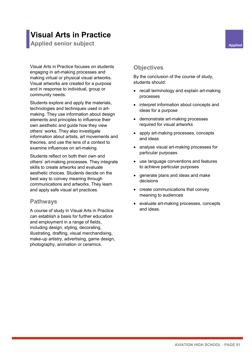## **Visual Arts in Practice**

**Applied senior subject Applied Applied Applied** 

Visual Arts in Practice focuses on students engaging in art-making processes and making virtual or physical visual artworks. Visual artworks are created for a purpose and in response to individual, group or community needs.

Students explore and apply the materials, technologies and techniques used in artmaking. They use information about design elements and principles to influence their own aesthetic and guide how they view others' works. They also investigate information about artists, art movements and theories, and use the lens of a context to examine influences on art-making.

Students reflect on both their own and others' art-making processes. They integrate skills to create artworks and evaluate aesthetic choices. Students decide on the best way to convey meaning through communications and artworks. They learn and apply safe visual art practices.

### **Pathways**

A course of study in Visual Arts in Practice can establish a basis for further education and employment in a range of fields, including design, styling, decorating, illustrating, drafting, visual merchandising, make-up artistry, advertising, game design, photography, animation or ceramics.

### **Objectives**

- recall terminology and explain art-making processes
- interpret information about concepts and ideas for a purpose
- demonstrate art-making processes required for visual artworks
- apply art-making processes, concepts and ideas
- analyse visual art-making processes for particular purposes
- use language conventions and features to achieve particular purposes
- generate plans and ideas and make decisions
- create communications that convey meaning to audiences
- evaluate art-making processes, concepts and ideas.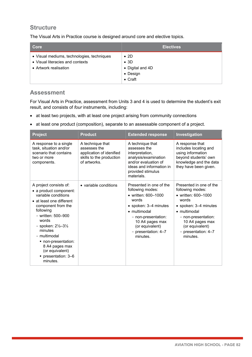The Visual Arts in Practice course is designed around core and elective topics.

| Core                                                                                                    | <b>Electives</b>                                                                |
|---------------------------------------------------------------------------------------------------------|---------------------------------------------------------------------------------|
| • Visual mediums, technologies, techniques<br>• Visual literacies and contexts<br>• Artwork realisation | $\bullet$ 2D<br>$\bullet$ 3D<br>• Digital and 4D<br>• Design<br>$\bullet$ Craft |

### **Assessment**

For Visual Arts in Practice, assessment from Units 3 and 4 is used to determine the student's exit result, and consists of *four* instruments, including:

- at least two projects, with at least one project arising from community connections
- at least one product (composition), separate to an assessable component of a project.

| <b>Project</b>                                                                                                                                                                                                                                                                                                                             | <b>Product</b>                                                                                           | <b>Extended response</b>                                                                                                                                                                                               | Investigation                                                                                                                                                                                                                |
|--------------------------------------------------------------------------------------------------------------------------------------------------------------------------------------------------------------------------------------------------------------------------------------------------------------------------------------------|----------------------------------------------------------------------------------------------------------|------------------------------------------------------------------------------------------------------------------------------------------------------------------------------------------------------------------------|------------------------------------------------------------------------------------------------------------------------------------------------------------------------------------------------------------------------------|
| A response to a single<br>task, situation and/or<br>scenario that contains<br>two or more<br>components.                                                                                                                                                                                                                                   | A technique that<br>assesses the<br>application of idenified<br>skills to the production<br>of artworks. | A technique that<br>assesses the<br>interpretation,<br>analysis/examination<br>and/or evaluation of<br>ideas and information in<br>provided stimulus<br>materials.                                                     | A response that<br>includes locating and<br>using information<br>beyond students' own<br>knowledge and the data<br>they have been given.                                                                                     |
| A project consists of:<br>• a product component:<br>variable conditions<br>• at least one different<br>component from the<br>following<br>- written: 500-900<br>words<br>- spoken: $2\frac{1}{2} - 3\frac{1}{2}$<br>minutes<br>- multimodal<br>■ non-presentation:<br>8 A4 pages max<br>(or equivalent)<br>■ presentation: 3–6<br>minutes. | • variable conditions                                                                                    | Presented in one of the<br>following modes:<br>• written: 600-1000<br>words<br>• spoken: 3–4 minutes<br>• multimodal<br>- non-presentation:<br>10 A4 pages max<br>(or equivalent)<br>- presentation: $4-7$<br>minutes. | Presented in one of the<br>following modes:<br>• written: 600-1000<br>words<br>• spoken: 3–4 minutes<br>$\bullet$ multimodal<br>- non-presentation:<br>10 A4 pages max<br>(or equivalent)<br>- presentation: 4-7<br>minutes. |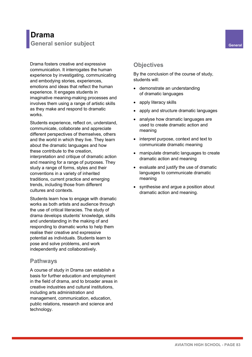### **Drama General senior subject General**

Drama fosters creative and expressive communication. It interrogates the human experience by investigating, communicating and embodying stories, experiences, emotions and ideas that reflect the human experience. It engages students in imaginative meaning-making processes and involves them using a range of artistic skills as they make and respond to dramatic works.

Students experience, reflect on, understand, communicate, collaborate and appreciate different perspectives of themselves, others and the world in which they live. They learn about the dramatic languages and how these contribute to the creation, interpretation and critique of dramatic action and meaning for a range of purposes. They study a range of forms, styles and their conventions in a variety of inherited traditions, current practice and emerging trends, including those from different cultures and contexts.

Students learn how to engage with dramatic works as both artists and audience through the use of critical literacies. The study of drama develops students' knowledge, skills and understanding in the making of and responding to dramatic works to help them realise their creative and expressive potential as individuals. Students learn to pose and solve problems, and work independently and collaboratively.

### **Pathways**

A course of study in Drama can establish a basis for further education and employment in the field of drama, and to broader areas in creative industries and cultural institutions, including arts administration and management, communication, education, public relations, research and science and technology.

### **Objectives**

- demonstrate an understanding of dramatic languages
- apply literacy skills
- apply and structure dramatic languages
- analyse how dramatic languages are used to create dramatic action and meaning
- interpret purpose, context and text to communicate dramatic meaning
- manipulate dramatic languages to create dramatic action and meaning
- evaluate and justify the use of dramatic languages to communicate dramatic meaning
- synthesise and argue a position about dramatic action and meaning.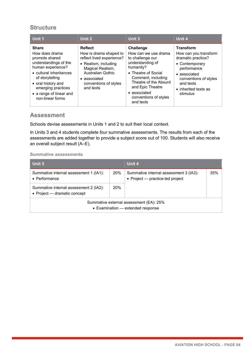| Unit 1                                                                                                                                                                                                                                  | Unit 2                                                                                                                                                                                       | Unit 3                                                                                                                                                                                                                                        | Unit 4                                                                                                                                                                                     |
|-----------------------------------------------------------------------------------------------------------------------------------------------------------------------------------------------------------------------------------------|----------------------------------------------------------------------------------------------------------------------------------------------------------------------------------------------|-----------------------------------------------------------------------------------------------------------------------------------------------------------------------------------------------------------------------------------------------|--------------------------------------------------------------------------------------------------------------------------------------------------------------------------------------------|
| <b>Share</b><br>How does drama<br>promote shared<br>understandings of the<br>human experience?<br>• cultural inheritances<br>of storytelling<br>• oral history and<br>emerging practices<br>• a range of linear and<br>non-linear forms | <b>Reflect</b><br>How is drama shaped to<br>reflect lived experience?<br>• Realism, including<br>Magical Realism,<br>Australian Gothic<br>• associated<br>conventions of styles<br>and texts | <b>Challenge</b><br>How can we use drama<br>to challenge our<br>understanding of<br>humanity?<br>• Theatre of Social<br>Comment, including<br>Theatre of the Absurd<br>and Epic Theatre<br>• associated<br>conventions of styles<br>and texts | <b>Transform</b><br>How can you transform<br>dramatic practice?<br>• Contemporary<br>performance<br>• associated<br>conventions of styles<br>and texts<br>• inherited texts as<br>stimulus |

### **Assessment**

Schools devise assessments in Units 1 and 2 to suit their local context.

In Units 3 and 4 students complete *four* summative assessments. The results from each of the assessments are added together to provide a subject score out of 100. Students will also receive an overall subject result (A–E).

| Unit 3                                                                       |     | Unit 4                                                                     |     |
|------------------------------------------------------------------------------|-----|----------------------------------------------------------------------------|-----|
| Summative internal assessment 1 (IA1):<br>$\bullet$ Performance              | 20% | Summative internal assessment 3 (IA3):<br>• Project - practice-led project | 35% |
| Summative internal assessment 2 (IA2):<br>• Project — dramatic concept       | 20% |                                                                            |     |
| Summative external assessment (EA): 25%<br>• Examination - extended response |     |                                                                            |     |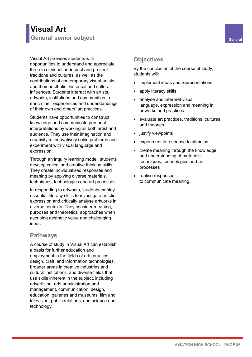### **Visual Art General senior subject General**

Visual Art provides students with opportunities to understand and appreciate the role of visual art in past and present traditions and cultures, as well as the contributions of contemporary visual artists and their aesthetic, historical and cultural influences. Students interact with artists, artworks, institutions and communities to enrich their experiences and understandings of their own and others' art practices.

Students have opportunities to construct knowledge and communicate personal interpretations by working as both artist and audience. They use their imagination and creativity to innovatively solve problems and experiment with visual language and expression.

Through an inquiry learning model, students develop critical and creative thinking skills. They create individualised responses and meaning by applying diverse materials, techniques, technologies and art processes.

In responding to artworks, students employ essential literacy skills to investigate artistic expression and critically analyse artworks in diverse contexts. They consider meaning, purposes and theoretical approaches when ascribing aesthetic value and challenging ideas.

### **Pathways**

A course of study in Visual Art can establish a basis for further education and employment in the fields of arts practice, design, craft, and information technologies; broader areas in creative industries and cultural institutions; and diverse fields that use skills inherent in the subject, including advertising, arts administration and management, communication, design, education, galleries and museums, film and television, public relations, and science and technology.

### **Objectives**

- implement ideas and representations
- apply literacy skills
- analyse and interpret visual language, expression and meaning in artworks and practices
- evaluate art practices, traditions, cultures and theories
- justify viewpoints
- experiment in response to stimulus
- create meaning through the knowledge and understanding of materials, techniques, technologies and art processes
- realise responses to communicate meaning.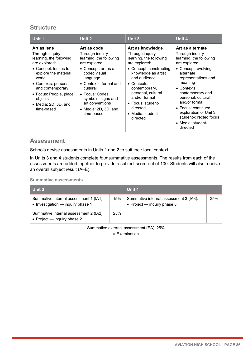| Unit 1                                                                                                                                                                                                                                                      | Unit 2                                                                                                                                                                                                                                                                                          | <b>Unit 3</b>                                                                                                                                                                                                                                                                                      | Unit 4                                                                                                                                                                                                                                                                                                                                    |
|-------------------------------------------------------------------------------------------------------------------------------------------------------------------------------------------------------------------------------------------------------------|-------------------------------------------------------------------------------------------------------------------------------------------------------------------------------------------------------------------------------------------------------------------------------------------------|----------------------------------------------------------------------------------------------------------------------------------------------------------------------------------------------------------------------------------------------------------------------------------------------------|-------------------------------------------------------------------------------------------------------------------------------------------------------------------------------------------------------------------------------------------------------------------------------------------------------------------------------------------|
| Art as lens<br>Through inguiry<br>learning, the following<br>are explored:<br>• Concept: lenses to<br>explore the material<br>world<br>• Contexts: personal<br>and contemporary<br>• Focus: People, place,<br>objects<br>• Media: 2D, 3D, and<br>time-based | Art as code<br>Through inguiry<br>learning, the following<br>are explored:<br>$\bullet$ Concept: art as a<br>coded visual<br>language<br>$\bullet$ Contexts: formal and<br>cultural<br>• Focus: Codes,<br>symbols, signs and<br>art conventions<br>$\bullet\,$ Media: 2D, 3D, and<br>time-based | Art as knowledge<br>Through inguiry<br>learning, the following<br>are explored:<br>• Concept: constructing<br>knowledge as artist<br>and audience<br>$\bullet$ Contexts:<br>contemporary,<br>personal, cultural<br>and/or formal<br>• Focus: student-<br>directed<br>• Media: student-<br>directed | Art as alternate<br>Through inguiry<br>learning, the following<br>are explored:<br>• Concept: evolving<br>alternate<br>representations and<br>meaning<br>• Contexts:<br>contemporary and<br>personal, cultural<br>and/or formal<br>• Focus: continued<br>exploration of Unit 3<br>student-directed focus<br>• Media: student-<br>directed |

### **Assessment**

Schools devise assessments in Units 1 and 2 to suit their local context.

In Units 3 and 4 students complete *four* summative assessments. The results from each of the assessments are added together to provide a subject score out of 100. Students will also receive an overall subject result (A–E).

| Unit 3                                                                      |     | Unit 4                                                                  |     |
|-----------------------------------------------------------------------------|-----|-------------------------------------------------------------------------|-----|
| Summative internal assessment 1 (IA1):<br>• Investigation - inquiry phase 1 | 15% | Summative internal assessment 3 (IA3):<br>• Project $-$ inquiry phase 3 | 35% |
| Summative internal assessment 2 (IA2):<br>• Project $-$ inquiry phase 2     | 25% |                                                                         |     |
| Summative external assessment (EA): 25%<br>• Examination                    |     |                                                                         |     |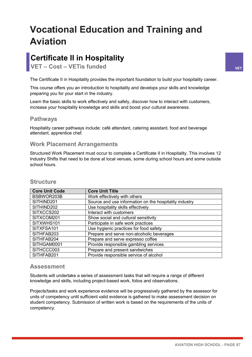# **Vocational Education and Training and Aviation**

# **Certificate II in Hospitality**

**VET – Cost – VETis funded VET**

The Certificate II in Hospitality provides the important foundation to build your hospitality career.

This course offers you an introduction to hospitality and develops your skills and knowledge preparing you for your start in the industry.

Learn the basic skills to work effectively and safely, discover how to interact with customers, increase your hospitality knowledge and skills and boost your cultural awareness.

### **Pathways**

Hospitality career pathways include: café attendant, catering assistant, food and beverage attendant, apprentice chef.

### **Work Placement Arrangements**

Structured Work Placement must occur to complete a Certificate II in Hospitality. This involves 12 Industry Shifts that need to be done at local venues, some during school hours and some outside school hours.

| <b>Core Unit Code</b> | <b>Core Unit Title</b>                                 |
|-----------------------|--------------------------------------------------------|
| BSBWOR203B            | Work effectively with others                           |
| SITHIND201            | Source and use information on the hospitality industry |
| SITHIND202            | Use hospitality skills effectively                     |
| SITXCCS202            | Interact with customers                                |
| SITXCOM201            | Show social and cultural sensitivity                   |
| SITXWHS101            | Participate in safe work practices                     |
| SITXFSA101            | Use hygienic practices for food safety                 |
| SITHFAB203            | Prepare and serve non-alcoholic beverages              |
| SITHFAB204            | Prepare and serve expresso coffee                      |
| SITHGAM0001           | Provide responsible gambling services                  |
| SITHCCC003            | Prepare and present sandwiches                         |
| SITHFAB201            | Provide responsible service of alcohol                 |

### **Structure**

### **Assessment**

Students will undertake a series of assessment tasks that will require a range of different knowledge and skills, including project-based work, folios and observations.

Projects/tasks and work experience evidence will be progressively gathered by the assessor for units of competency until sufficient valid evidence is gathered to make assessment decision on student competency. Submission of written work is based on the requirements of the units of competency.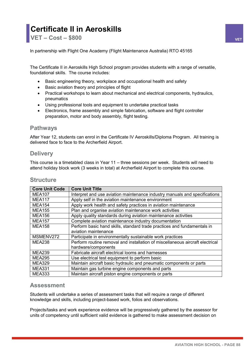### **Certificate II in Aeroskills VET – Cost – \$800 VET**

In partnership with Flight One Academy (Flight Maintenance Australia) RTO 45165

The Certificate II in Aeroskills High School program provides students with a range of versatile, foundational skills. The course includes:

- Basic engineering theory, workplace and occupational health and safety
- Basic aviation theory and principles of flight
- Practical workshops to learn about mechanical and electrical components, hydraulics, pneumatics
- Using professional tools and equipment to undertake practical tasks
- Electronics, frame assembly and simple fabrication, software and flight controller preparation, motor and body assembly, flight testing.

### **Pathways**

After Year 12, students can enrol in the Certificate IV Aeroskills/Diploma Program. All training is delivered face to face to the Archerfield Airport.

### **Delivery**

This course is a timetabled class in Year 11 – three sessions per week. Students will need to attend holiday block work (3 weeks in total) at Archerfield Airport to complete this course.

|  | <b>Structure</b> |
|--|------------------|
|--|------------------|

| <b>Core Unit Code</b> | <b>Core Unit Title</b>                                                        |
|-----------------------|-------------------------------------------------------------------------------|
| <b>MEA107</b>         | Interpret and use aviation maintenance industry manuals and specifications    |
| <b>MEA117</b>         | Apply self in the aviation maintenance environment                            |
| <b>MEA154</b>         | Apply work health and safety practices in aviation maintenance                |
| <b>MEA155</b>         | Plan and organise aviation maintenance work activities                        |
| <b>MEA156</b>         | Apply quality standards during aviation maintenance activities                |
| <b>MEA157</b>         | Complete aviation maintenance industry documentation                          |
| <b>MEA158</b>         | Perform basic hand skills, standard trade practices and fundamentals in       |
|                       | aviation maintenance                                                          |
| MSMENV272             | Participate in environmentally sustainable work practices                     |
| <b>MEA238</b>         | Perform routine removal and installation of miscellaneous aircraft electrical |
|                       | hardware/components                                                           |
| <b>MEA239</b>         | Fabricate aircraft electrical looms and harnesses                             |
| <b>MEA295</b>         | Use electrical test equipment to perform basic                                |
| <b>MEA329</b>         | Maintain aircraft basic hydraulic and pneumatic components or parts           |
| <b>MEA331</b>         | Maintain gas turbine engine components and parts                              |
| <b>MEA333</b>         | Maintain aircraft piston engine components or parts                           |

### **Assessment**

Students will undertake a series of assessment tasks that will require a range of different knowledge and skills, including project-based work, folios and observations.

Projects/tasks and work experience evidence will be progressively gathered by the assessor for units of competency until sufficient valid evidence is gathered to make assessment decision on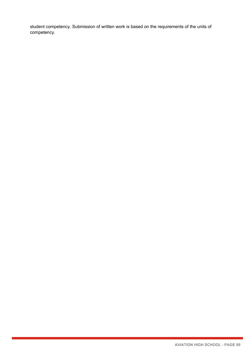student competency. Submission of written work is based on the requirements of the units of competency.